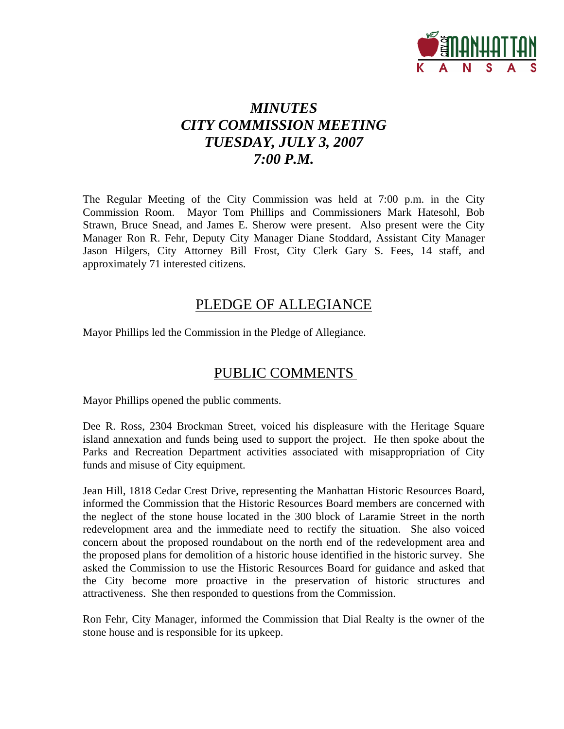

# *MINUTES CITY COMMISSION MEETING TUESDAY, JULY 3, 2007 7:00 P.M.*

The Regular Meeting of the City Commission was held at 7:00 p.m. in the City Commission Room. Mayor Tom Phillips and Commissioners Mark Hatesohl, Bob Strawn, Bruce Snead, and James E. Sherow were present. Also present were the City Manager Ron R. Fehr, Deputy City Manager Diane Stoddard, Assistant City Manager Jason Hilgers, City Attorney Bill Frost, City Clerk Gary S. Fees, 14 staff, and approximately 71 interested citizens.

### PLEDGE OF ALLEGIANCE

Mayor Phillips led the Commission in the Pledge of Allegiance.

### PUBLIC COMMENTS

Mayor Phillips opened the public comments.

Dee R. Ross, 2304 Brockman Street, voiced his displeasure with the Heritage Square island annexation and funds being used to support the project. He then spoke about the Parks and Recreation Department activities associated with misappropriation of City funds and misuse of City equipment.

Jean Hill, 1818 Cedar Crest Drive, representing the Manhattan Historic Resources Board, informed the Commission that the Historic Resources Board members are concerned with the neglect of the stone house located in the 300 block of Laramie Street in the north redevelopment area and the immediate need to rectify the situation. She also voiced concern about the proposed roundabout on the north end of the redevelopment area and the proposed plans for demolition of a historic house identified in the historic survey. She asked the Commission to use the Historic Resources Board for guidance and asked that the City become more proactive in the preservation of historic structures and attractiveness. She then responded to questions from the Commission.

Ron Fehr, City Manager, informed the Commission that Dial Realty is the owner of the stone house and is responsible for its upkeep.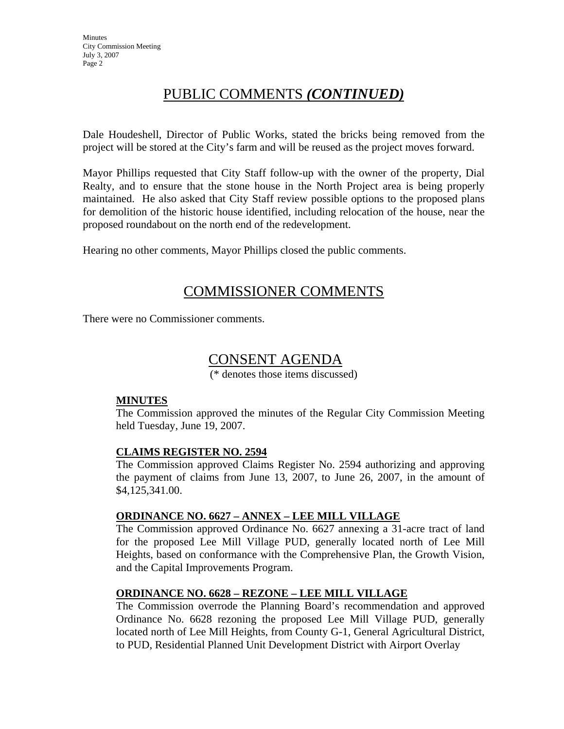### PUBLIC COMMENTS *(CONTINUED)*

Dale Houdeshell, Director of Public Works, stated the bricks being removed from the project will be stored at the City's farm and will be reused as the project moves forward.

Mayor Phillips requested that City Staff follow-up with the owner of the property, Dial Realty, and to ensure that the stone house in the North Project area is being properly maintained. He also asked that City Staff review possible options to the proposed plans for demolition of the historic house identified, including relocation of the house, near the proposed roundabout on the north end of the redevelopment.

Hearing no other comments, Mayor Phillips closed the public comments.

### COMMISSIONER COMMENTS

There were no Commissioner comments.

### CONSENT AGENDA

(\* denotes those items discussed)

### **MINUTES**

The Commission approved the minutes of the Regular City Commission Meeting held Tuesday, June 19, 2007.

#### **CLAIMS REGISTER NO. 2594**

The Commission approved Claims Register No. 2594 authorizing and approving the payment of claims from June 13, 2007, to June 26, 2007, in the amount of \$4,125,341.00.

### **ORDINANCE NO. 6627 – ANNEX – LEE MILL VILLAGE**

The Commission approved Ordinance No. 6627 annexing a 31-acre tract of land for the proposed Lee Mill Village PUD, generally located north of Lee Mill Heights, based on conformance with the Comprehensive Plan, the Growth Vision, and the Capital Improvements Program.

### **ORDINANCE NO. 6628 – REZONE – LEE MILL VILLAGE**

The Commission overrode the Planning Board's recommendation and approved Ordinance No. 6628 rezoning the proposed Lee Mill Village PUD, generally located north of Lee Mill Heights, from County G-1, General Agricultural District, to PUD, Residential Planned Unit Development District with Airport Overlay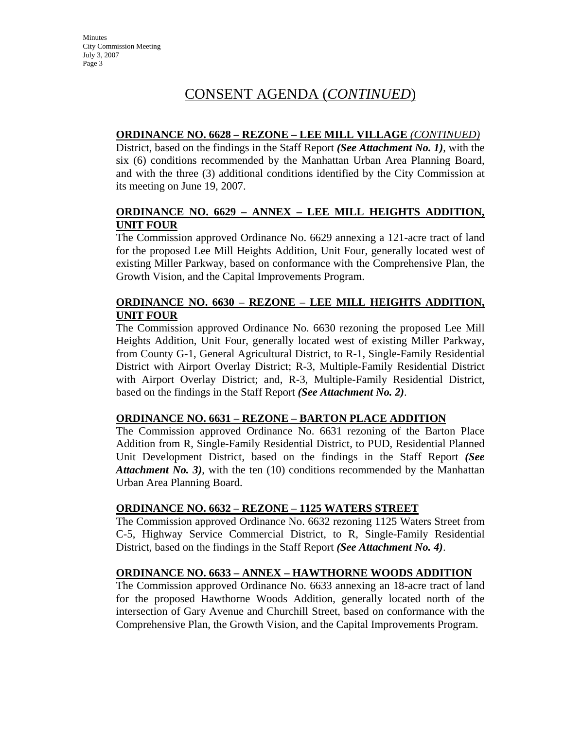### CONSENT AGENDA (*CONTINUED*)

### **ORDINANCE NO. 6628 – REZONE – LEE MILL VILLAGE** *(CONTINUED)*

District, based on the findings in the Staff Report *(See Attachment No. 1)*, with the six (6) conditions recommended by the Manhattan Urban Area Planning Board, and with the three (3) additional conditions identified by the City Commission at its meeting on June 19, 2007.

### **ORDINANCE NO. 6629 – ANNEX – LEE MILL HEIGHTS ADDITION, UNIT FOUR**

The Commission approved Ordinance No. 6629 annexing a 121-acre tract of land for the proposed Lee Mill Heights Addition, Unit Four, generally located west of existing Miller Parkway, based on conformance with the Comprehensive Plan, the Growth Vision, and the Capital Improvements Program.

### **ORDINANCE NO. 6630 – REZONE – LEE MILL HEIGHTS ADDITION, UNIT FOUR**

The Commission approved Ordinance No. 6630 rezoning the proposed Lee Mill Heights Addition, Unit Four, generally located west of existing Miller Parkway, from County G-1, General Agricultural District, to R-1, Single-Family Residential District with Airport Overlay District; R-3, Multiple-Family Residential District with Airport Overlay District; and, R-3, Multiple-Family Residential District, based on the findings in the Staff Report *(See Attachment No. 2)*.

#### **ORDINANCE NO. 6631 – REZONE – BARTON PLACE ADDITION**

The Commission approved Ordinance No. 6631 rezoning of the Barton Place Addition from R, Single-Family Residential District, to PUD, Residential Planned Unit Development District, based on the findings in the Staff Report *(See Attachment No. 3)*, with the ten (10) conditions recommended by the Manhattan Urban Area Planning Board.

### **ORDINANCE NO. 6632 – REZONE – 1125 WATERS STREET**

The Commission approved Ordinance No. 6632 rezoning 1125 Waters Street from C-5, Highway Service Commercial District, to R, Single-Family Residential District, based on the findings in the Staff Report *(See Attachment No. 4)*.

### **ORDINANCE NO. 6633 – ANNEX – HAWTHORNE WOODS ADDITION**

The Commission approved Ordinance No. 6633 annexing an 18-acre tract of land for the proposed Hawthorne Woods Addition, generally located north of the intersection of Gary Avenue and Churchill Street, based on conformance with the Comprehensive Plan, the Growth Vision, and the Capital Improvements Program.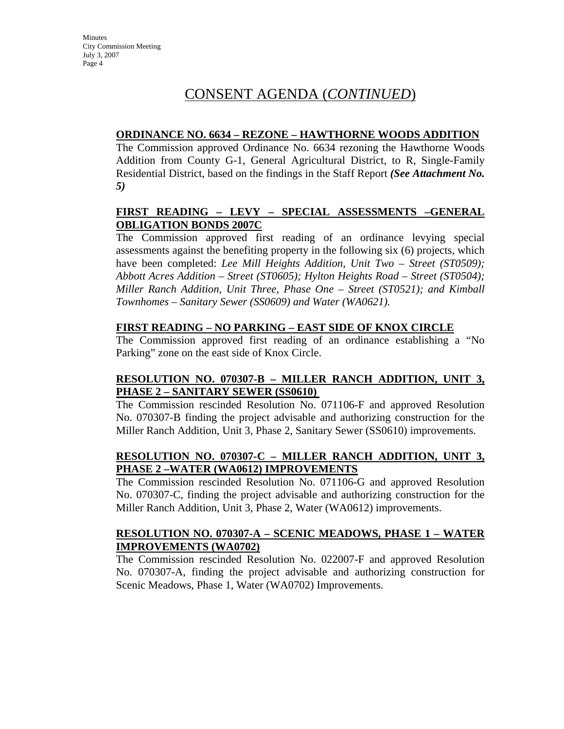### CONSENT AGENDA (*CONTINUED*)

### **ORDINANCE NO. 6634 – REZONE – HAWTHORNE WOODS ADDITION**

The Commission approved Ordinance No. 6634 rezoning the Hawthorne Woods Addition from County G-1, General Agricultural District, to R, Single-Family Residential District, based on the findings in the Staff Report *(See Attachment No. 5)* 

### **FIRST READING – LEVY – SPECIAL ASSESSMENTS –GENERAL OBLIGATION BONDS 2007C**

The Commission approved first reading of an ordinance levying special assessments against the benefiting property in the following six (6) projects, which have been completed: *Lee Mill Heights Addition, Unit Two – Street (ST0509); Abbott Acres Addition – Street (ST0605); Hylton Heights Road – Street (ST0504); Miller Ranch Addition, Unit Three, Phase One – Street (ST0521); and Kimball Townhomes – Sanitary Sewer (SS0609) and Water (WA0621).*

### **FIRST READING – NO PARKING – EAST SIDE OF KNOX CIRCLE**

The Commission approved first reading of an ordinance establishing a "No Parking" zone on the east side of Knox Circle.

### **RESOLUTION NO. 070307-B – MILLER RANCH ADDITION, UNIT 3, PHASE 2 – SANITARY SEWER (SS0610)**

The Commission rescinded Resolution No. 071106-F and approved Resolution No. 070307-B finding the project advisable and authorizing construction for the Miller Ranch Addition, Unit 3, Phase 2, Sanitary Sewer (SS0610) improvements.

### **RESOLUTION NO. 070307-C – MILLER RANCH ADDITION, UNIT 3, PHASE 2 –WATER (WA0612) IMPROVEMENTS**

The Commission rescinded Resolution No. 071106-G and approved Resolution No. 070307-C, finding the project advisable and authorizing construction for the Miller Ranch Addition, Unit 3, Phase 2, Water (WA0612) improvements.

### **RESOLUTION NO. 070307-A – SCENIC MEADOWS, PHASE 1 – WATER IMPROVEMENTS (WA0702)**

The Commission rescinded Resolution No. 022007-F and approved Resolution No. 070307-A, finding the project advisable and authorizing construction for Scenic Meadows, Phase 1, Water (WA0702) Improvements.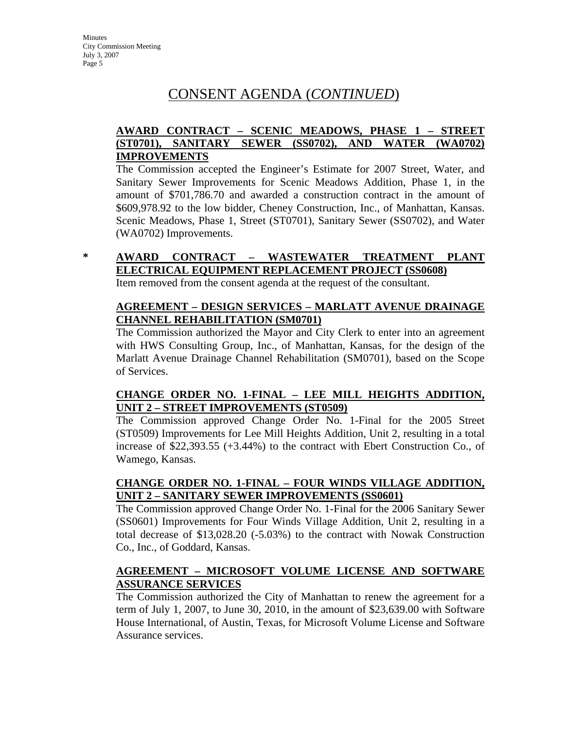### CONSENT AGENDA (*CONTINUED*)

### **AWARD CONTRACT – SCENIC MEADOWS, PHASE 1 – STREET (ST0701), SANITARY SEWER (SS0702), AND WATER (WA0702) IMPROVEMENTS**

The Commission accepted the Engineer's Estimate for 2007 Street, Water, and Sanitary Sewer Improvements for Scenic Meadows Addition, Phase 1, in the amount of \$701,786.70 and awarded a construction contract in the amount of \$609,978.92 to the low bidder, Cheney Construction, Inc., of Manhattan, Kansas. Scenic Meadows, Phase 1, Street (ST0701), Sanitary Sewer (SS0702), and Water (WA0702) Improvements.

### **\* AWARD CONTRACT – WASTEWATER TREATMENT PLANT ELECTRICAL EQUIPMENT REPLACEMENT PROJECT (SS0608)**

Item removed from the consent agenda at the request of the consultant.

### **AGREEMENT – DESIGN SERVICES – MARLATT AVENUE DRAINAGE CHANNEL REHABILITATION (SM0701)**

The Commission authorized the Mayor and City Clerk to enter into an agreement with HWS Consulting Group, Inc., of Manhattan, Kansas, for the design of the Marlatt Avenue Drainage Channel Rehabilitation (SM0701), based on the Scope of Services.

### **CHANGE ORDER NO. 1-FINAL – LEE MILL HEIGHTS ADDITION, UNIT 2 – STREET IMPROVEMENTS (ST0509)**

The Commission approved Change Order No. 1-Final for the 2005 Street (ST0509) Improvements for Lee Mill Heights Addition, Unit 2, resulting in a total increase of \$22,393.55 (+3.44%) to the contract with Ebert Construction Co., of Wamego, Kansas.

### **CHANGE ORDER NO. 1-FINAL – FOUR WINDS VILLAGE ADDITION, UNIT 2 - SANITARY SEWER IMPROVEMENTS (SS0601)**

The Commission approved Change Order No. 1-Final for the 2006 Sanitary Sewer (SS0601) Improvements for Four Winds Village Addition, Unit 2, resulting in a total decrease of \$13,028.20 (-5.03%) to the contract with Nowak Construction Co., Inc., of Goddard, Kansas.

### **AGREEMENT – MICROSOFT VOLUME LICENSE AND SOFTWARE ASSURANCE SERVICES**

The Commission authorized the City of Manhattan to renew the agreement for a term of July 1, 2007, to June 30, 2010, in the amount of \$23,639.00 with Software House International, of Austin, Texas, for Microsoft Volume License and Software Assurance services.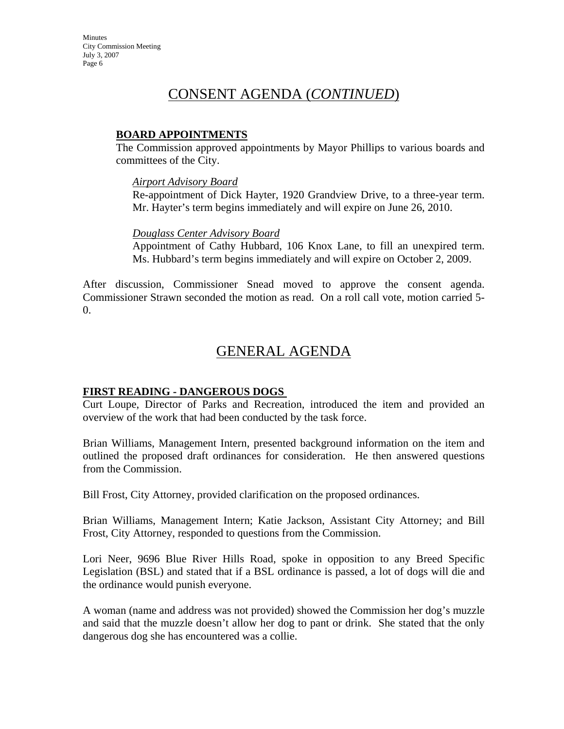### CONSENT AGENDA (*CONTINUED*)

### **BOARD APPOINTMENTS**

The Commission approved appointments by Mayor Phillips to various boards and committees of the City.

#### *Airport Advisory Board*

Re-appointment of Dick Hayter, 1920 Grandview Drive, to a three-year term. Mr. Hayter's term begins immediately and will expire on June 26, 2010.

#### *Douglass Center Advisory Board*

Appointment of Cathy Hubbard, 106 Knox Lane, to fill an unexpired term. Ms. Hubbard's term begins immediately and will expire on October 2, 2009.

After discussion, Commissioner Snead moved to approve the consent agenda. Commissioner Strawn seconded the motion as read. On a roll call vote, motion carried 5- 0.

### GENERAL AGENDA

#### **FIRST READING - DANGEROUS DOGS**

Curt Loupe, Director of Parks and Recreation, introduced the item and provided an overview of the work that had been conducted by the task force.

Brian Williams, Management Intern, presented background information on the item and outlined the proposed draft ordinances for consideration. He then answered questions from the Commission.

Bill Frost, City Attorney, provided clarification on the proposed ordinances.

Brian Williams, Management Intern; Katie Jackson, Assistant City Attorney; and Bill Frost, City Attorney, responded to questions from the Commission.

Lori Neer, 9696 Blue River Hills Road, spoke in opposition to any Breed Specific Legislation (BSL) and stated that if a BSL ordinance is passed, a lot of dogs will die and the ordinance would punish everyone.

A woman (name and address was not provided) showed the Commission her dog's muzzle and said that the muzzle doesn't allow her dog to pant or drink. She stated that the only dangerous dog she has encountered was a collie.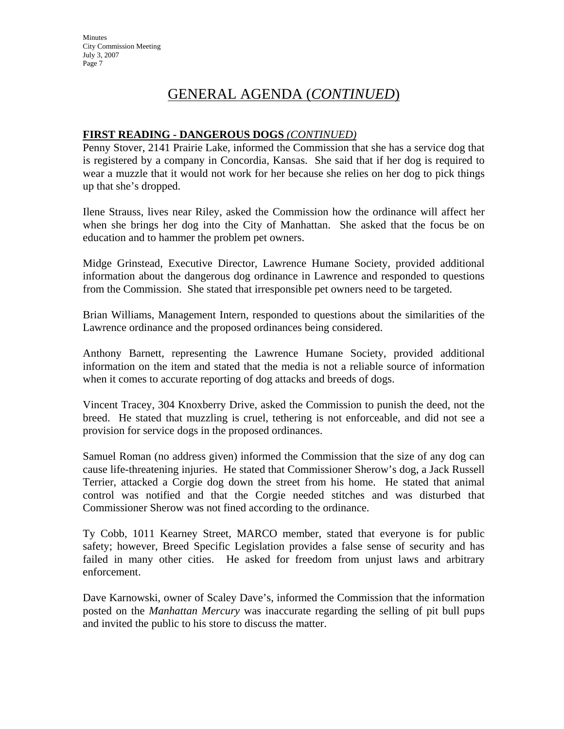### GENERAL AGENDA (*CONTINUED*)

### **FIRST READING - DANGEROUS DOGS** *(CONTINUED)*

Penny Stover, 2141 Prairie Lake, informed the Commission that she has a service dog that is registered by a company in Concordia, Kansas. She said that if her dog is required to wear a muzzle that it would not work for her because she relies on her dog to pick things up that she's dropped.

Ilene Strauss, lives near Riley, asked the Commission how the ordinance will affect her when she brings her dog into the City of Manhattan. She asked that the focus be on education and to hammer the problem pet owners.

Midge Grinstead, Executive Director, Lawrence Humane Society, provided additional information about the dangerous dog ordinance in Lawrence and responded to questions from the Commission. She stated that irresponsible pet owners need to be targeted.

Brian Williams, Management Intern, responded to questions about the similarities of the Lawrence ordinance and the proposed ordinances being considered.

Anthony Barnett, representing the Lawrence Humane Society, provided additional information on the item and stated that the media is not a reliable source of information when it comes to accurate reporting of dog attacks and breeds of dogs.

Vincent Tracey, 304 Knoxberry Drive, asked the Commission to punish the deed, not the breed. He stated that muzzling is cruel, tethering is not enforceable, and did not see a provision for service dogs in the proposed ordinances.

Samuel Roman (no address given) informed the Commission that the size of any dog can cause life-threatening injuries. He stated that Commissioner Sherow's dog, a Jack Russell Terrier, attacked a Corgie dog down the street from his home. He stated that animal control was notified and that the Corgie needed stitches and was disturbed that Commissioner Sherow was not fined according to the ordinance.

Ty Cobb, 1011 Kearney Street, MARCO member, stated that everyone is for public safety; however, Breed Specific Legislation provides a false sense of security and has failed in many other cities. He asked for freedom from unjust laws and arbitrary enforcement.

Dave Karnowski, owner of Scaley Dave's, informed the Commission that the information posted on the *Manhattan Mercury* was inaccurate regarding the selling of pit bull pups and invited the public to his store to discuss the matter.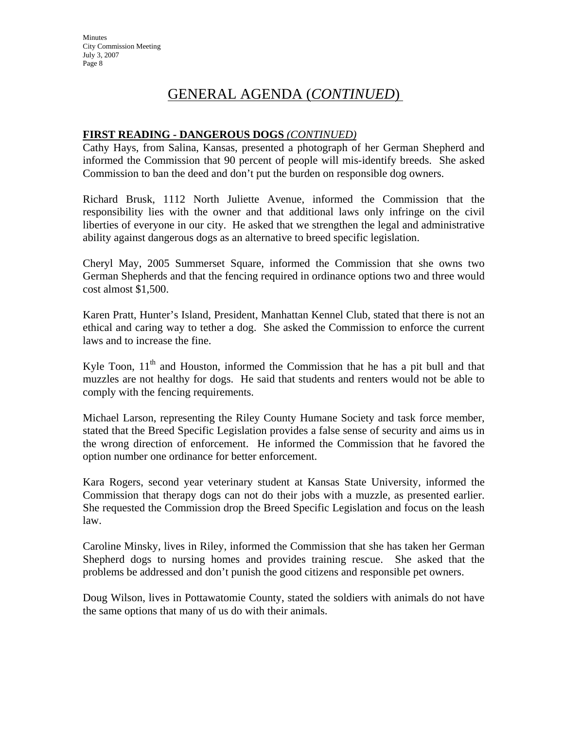### GENERAL AGENDA (*CONTINUED*)

#### **FIRST READING - DANGEROUS DOGS** *(CONTINUED)*

Cathy Hays, from Salina, Kansas, presented a photograph of her German Shepherd and informed the Commission that 90 percent of people will mis-identify breeds. She asked Commission to ban the deed and don't put the burden on responsible dog owners.

Richard Brusk, 1112 North Juliette Avenue, informed the Commission that the responsibility lies with the owner and that additional laws only infringe on the civil liberties of everyone in our city. He asked that we strengthen the legal and administrative ability against dangerous dogs as an alternative to breed specific legislation.

Cheryl May, 2005 Summerset Square, informed the Commission that she owns two German Shepherds and that the fencing required in ordinance options two and three would cost almost \$1,500.

Karen Pratt, Hunter's Island, President, Manhattan Kennel Club, stated that there is not an ethical and caring way to tether a dog. She asked the Commission to enforce the current laws and to increase the fine.

Kyle Toon,  $11<sup>th</sup>$  and Houston, informed the Commission that he has a pit bull and that muzzles are not healthy for dogs. He said that students and renters would not be able to comply with the fencing requirements.

Michael Larson, representing the Riley County Humane Society and task force member, stated that the Breed Specific Legislation provides a false sense of security and aims us in the wrong direction of enforcement. He informed the Commission that he favored the option number one ordinance for better enforcement.

Kara Rogers, second year veterinary student at Kansas State University, informed the Commission that therapy dogs can not do their jobs with a muzzle, as presented earlier. She requested the Commission drop the Breed Specific Legislation and focus on the leash law.

Caroline Minsky, lives in Riley, informed the Commission that she has taken her German Shepherd dogs to nursing homes and provides training rescue. She asked that the problems be addressed and don't punish the good citizens and responsible pet owners.

Doug Wilson, lives in Pottawatomie County, stated the soldiers with animals do not have the same options that many of us do with their animals.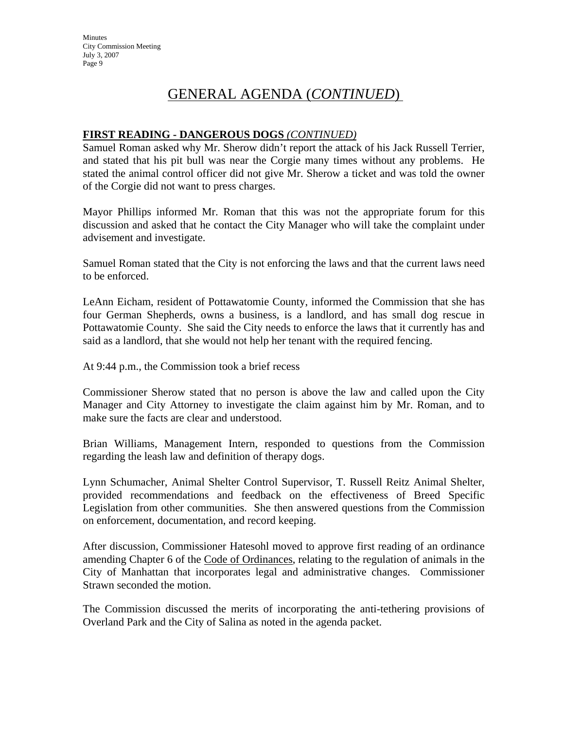### GENERAL AGENDA (*CONTINUED*)

#### **FIRST READING - DANGEROUS DOGS** *(CONTINUED)*

Samuel Roman asked why Mr. Sherow didn't report the attack of his Jack Russell Terrier, and stated that his pit bull was near the Corgie many times without any problems. He stated the animal control officer did not give Mr. Sherow a ticket and was told the owner of the Corgie did not want to press charges.

Mayor Phillips informed Mr. Roman that this was not the appropriate forum for this discussion and asked that he contact the City Manager who will take the complaint under advisement and investigate.

Samuel Roman stated that the City is not enforcing the laws and that the current laws need to be enforced.

LeAnn Eicham, resident of Pottawatomie County, informed the Commission that she has four German Shepherds, owns a business, is a landlord, and has small dog rescue in Pottawatomie County. She said the City needs to enforce the laws that it currently has and said as a landlord, that she would not help her tenant with the required fencing.

At 9:44 p.m., the Commission took a brief recess

Commissioner Sherow stated that no person is above the law and called upon the City Manager and City Attorney to investigate the claim against him by Mr. Roman, and to make sure the facts are clear and understood.

Brian Williams, Management Intern, responded to questions from the Commission regarding the leash law and definition of therapy dogs.

Lynn Schumacher, Animal Shelter Control Supervisor, T. Russell Reitz Animal Shelter, provided recommendations and feedback on the effectiveness of Breed Specific Legislation from other communities. She then answered questions from the Commission on enforcement, documentation, and record keeping.

After discussion, Commissioner Hatesohl moved to approve first reading of an ordinance amending Chapter 6 of the Code of Ordinances, relating to the regulation of animals in the City of Manhattan that incorporates legal and administrative changes. Commissioner Strawn seconded the motion.

The Commission discussed the merits of incorporating the anti-tethering provisions of Overland Park and the City of Salina as noted in the agenda packet.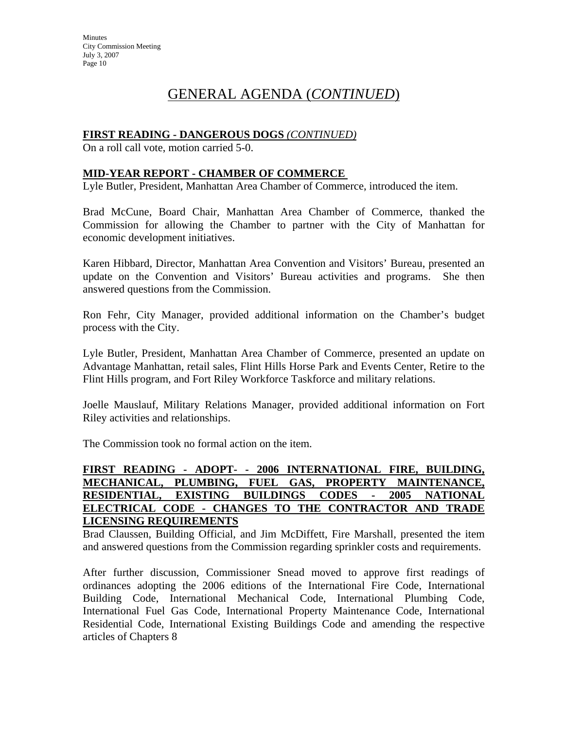## GENERAL AGENDA (*CONTINUED*)

### **FIRST READING - DANGEROUS DOGS** *(CONTINUED)*

On a roll call vote, motion carried 5-0.

#### **MID-YEAR REPORT - CHAMBER OF COMMERCE**

Lyle Butler, President, Manhattan Area Chamber of Commerce, introduced the item.

Brad McCune, Board Chair, Manhattan Area Chamber of Commerce, thanked the Commission for allowing the Chamber to partner with the City of Manhattan for economic development initiatives.

Karen Hibbard, Director, Manhattan Area Convention and Visitors' Bureau, presented an update on the Convention and Visitors' Bureau activities and programs. She then answered questions from the Commission.

Ron Fehr, City Manager, provided additional information on the Chamber's budget process with the City.

Lyle Butler, President, Manhattan Area Chamber of Commerce, presented an update on Advantage Manhattan, retail sales, Flint Hills Horse Park and Events Center, Retire to the Flint Hills program, and Fort Riley Workforce Taskforce and military relations.

Joelle Mauslauf, Military Relations Manager, provided additional information on Fort Riley activities and relationships.

The Commission took no formal action on the item.

### **FIRST READING - ADOPT- - 2006 INTERNATIONAL FIRE, BUILDING, MECHANICAL, PLUMBING, FUEL GAS, PROPERTY MAINTENANCE, RESIDENTIAL, EXISTING BUILDINGS CODES - 2005 NATIONAL ELECTRICAL CODE - CHANGES TO THE CONTRACTOR AND TRADE LICENSING REQUIREMENTS**

Brad Claussen, Building Official, and Jim McDiffett, Fire Marshall, presented the item and answered questions from the Commission regarding sprinkler costs and requirements.

After further discussion, Commissioner Snead moved to approve first readings of ordinances adopting the 2006 editions of the International Fire Code, International Building Code, International Mechanical Code, International Plumbing Code, International Fuel Gas Code, International Property Maintenance Code, International Residential Code, International Existing Buildings Code and amending the respective articles of Chapters 8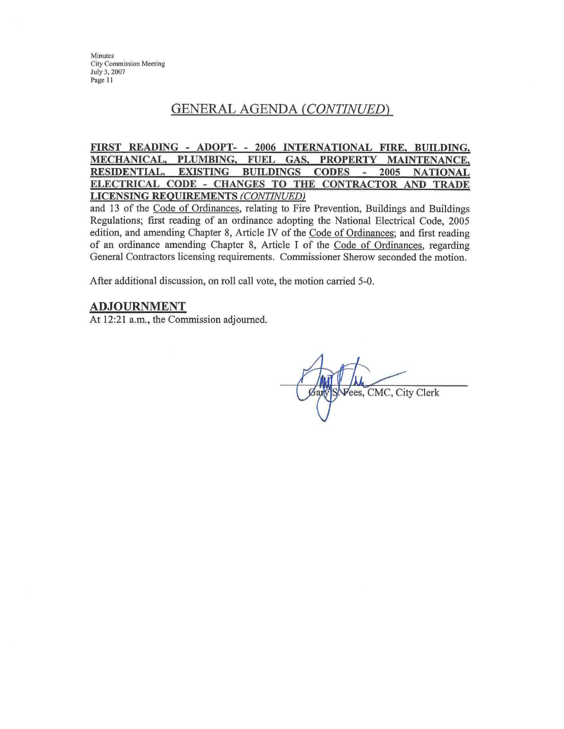### GENERAL AGENDA (CONTINUED)

#### FIRST READING - ADOPT- - 2006 INTERNATIONAL FIRE, BUILDING, MECHANICAL, PLUMBING, FUEL GAS, **PROPERTY MAINTENANCE. RESIDENTIAL. EXISTING BUILDINGS CODES** 2005  $\overline{\phantom{a}}$ **NATIONAL** ELECTRICAL CODE - CHANGES TO THE CONTRACTOR AND TRADE **LICENSING REQUIREMENTS (CONTINUED)**

and 13 of the Code of Ordinances, relating to Fire Prevention, Buildings and Buildings Regulations; first reading of an ordinance adopting the National Electrical Code, 2005 edition, and amending Chapter 8, Article IV of the Code of Ordinances; and first reading of an ordinance amending Chapter 8, Article I of the Code of Ordinances, regarding General Contractors licensing requirements. Commissioner Sherow seconded the motion.

After additional discussion, on roll call vote, the motion carried 5-0.

#### **ADJOURNMENT**

At 12:21 a.m., the Commission adjourned.

Vees, CMC, City Clerk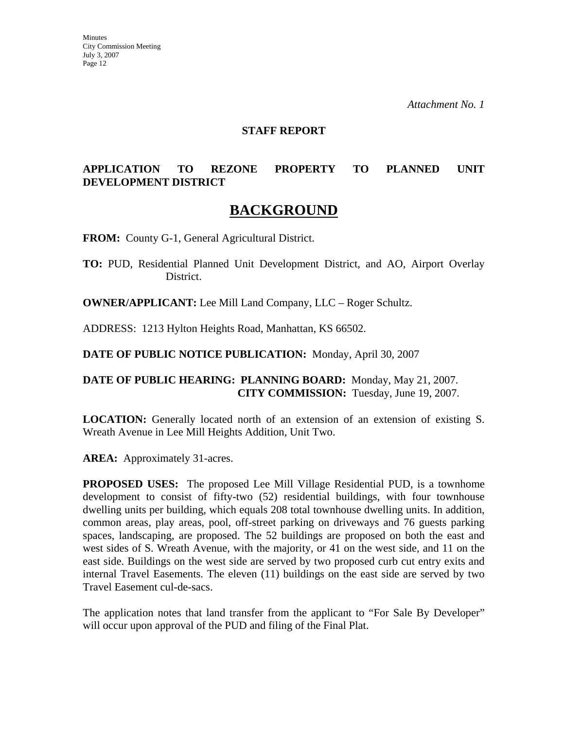*Attachment No. 1*

#### **STAFF REPORT**

### **APPLICATION TO REZONE PROPERTY TO PLANNED UNIT DEVELOPMENT DISTRICT**

### **BACKGROUND**

**FROM:** County G-1, General Agricultural District.

**TO:** PUD, Residential Planned Unit Development District, and AO, Airport Overlay District.

**OWNER/APPLICANT:** Lee Mill Land Company, LLC – Roger Schultz.

ADDRESS: 1213 Hylton Heights Road, Manhattan, KS 66502.

**DATE OF PUBLIC NOTICE PUBLICATION:** Monday, April 30, 2007

### **DATE OF PUBLIC HEARING: PLANNING BOARD:** Monday, May 21, 2007. **CITY COMMISSION:** Tuesday, June 19, 2007.

**LOCATION:** Generally located north of an extension of an extension of existing S. Wreath Avenue in Lee Mill Heights Addition, Unit Two.

**AREA:** Approximately 31-acres.

**PROPOSED USES:** The proposed Lee Mill Village Residential PUD, is a townhome development to consist of fifty-two (52) residential buildings, with four townhouse dwelling units per building, which equals 208 total townhouse dwelling units. In addition, common areas, play areas, pool, off-street parking on driveways and 76 guests parking spaces, landscaping, are proposed. The 52 buildings are proposed on both the east and west sides of S. Wreath Avenue, with the majority, or 41 on the west side, and 11 on the east side. Buildings on the west side are served by two proposed curb cut entry exits and internal Travel Easements. The eleven (11) buildings on the east side are served by two Travel Easement cul-de-sacs.

The application notes that land transfer from the applicant to "For Sale By Developer" will occur upon approval of the PUD and filing of the Final Plat.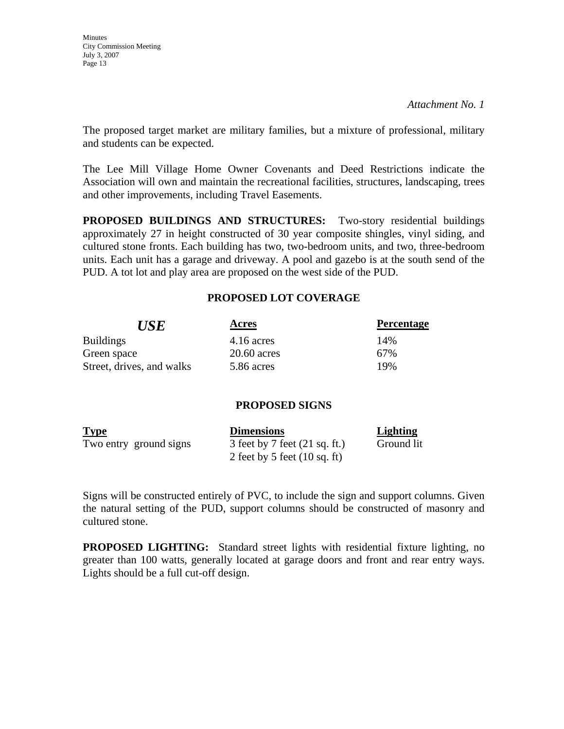The proposed target market are military families, but a mixture of professional, military and students can be expected.

The Lee Mill Village Home Owner Covenants and Deed Restrictions indicate the Association will own and maintain the recreational facilities, structures, landscaping, trees and other improvements, including Travel Easements.

**PROPOSED BUILDINGS AND STRUCTURES:** Two-story residential buildings approximately 27 in height constructed of 30 year composite shingles, vinyl siding, and cultured stone fronts. Each building has two, two-bedroom units, and two, three-bedroom units. Each unit has a garage and driveway. A pool and gazebo is at the south send of the PUD. A tot lot and play area are proposed on the west side of the PUD.

### **PROPOSED LOT COVERAGE**

| <i><b>USE</b></i>         | Acres         | <b>Percentage</b> |
|---------------------------|---------------|-------------------|
| <b>Buildings</b>          | $4.16$ acres  | 14%               |
| Green space               | $20.60$ acres | 67%               |
| Street, drives, and walks | 5.86 acres    | 19%               |

### **PROPOSED SIGNS**

| <b>Type</b>            | <b>Dimensions</b>                       | Lighting   |
|------------------------|-----------------------------------------|------------|
| Two entry ground signs | 3 feet by 7 feet $(21 \text{ sq. ft.})$ | Ground lit |
|                        | 2 feet by 5 feet $(10 \text{ sq. ft})$  |            |

Signs will be constructed entirely of PVC, to include the sign and support columns. Given the natural setting of the PUD, support columns should be constructed of masonry and cultured stone.

**PROPOSED LIGHTING:** Standard street lights with residential fixture lighting, no greater than 100 watts, generally located at garage doors and front and rear entry ways. Lights should be a full cut-off design.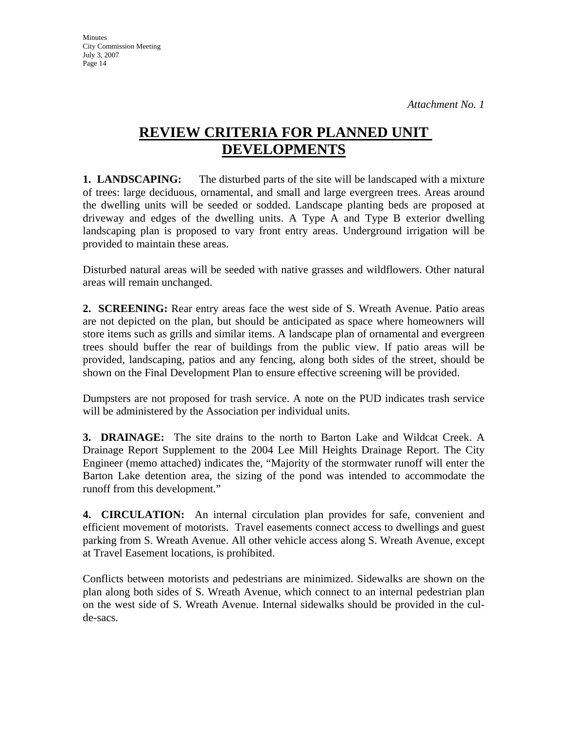**Minutes** City Commission Meeting July 3, 2007 Page 14

# **REVIEW CRITERIA FOR PLANNED UNIT DEVELOPMENTS**

**1. LANDSCAPING:** The disturbed parts of the site will be landscaped with a mixture of trees: large deciduous, ornamental, and small and large evergreen trees. Areas around the dwelling units will be seeded or sodded. Landscape planting beds are proposed at driveway and edges of the dwelling units. A Type A and Type B exterior dwelling landscaping plan is proposed to vary front entry areas. Underground irrigation will be provided to maintain these areas.

Disturbed natural areas will be seeded with native grasses and wildflowers. Other natural areas will remain unchanged.

**2. SCREENING:** Rear entry areas face the west side of S. Wreath Avenue. Patio areas are not depicted on the plan, but should be anticipated as space where homeowners will store items such as grills and similar items. A landscape plan of ornamental and evergreen trees should buffer the rear of buildings from the public view. If patio areas will be provided, landscaping, patios and any fencing, along both sides of the street, should be shown on the Final Development Plan to ensure effective screening will be provided.

Dumpsters are not proposed for trash service. A note on the PUD indicates trash service will be administered by the Association per individual units.

**3. DRAINAGE:** The site drains to the north to Barton Lake and Wildcat Creek. A Drainage Report Supplement to the 2004 Lee Mill Heights Drainage Report. The City Engineer (memo attached) indicates the, "Majority of the stormwater runoff will enter the Barton Lake detention area, the sizing of the pond was intended to accommodate the runoff from this development."

**4. CIRCULATION:** An internal circulation plan provides for safe, convenient and efficient movement of motorists. Travel easements connect access to dwellings and guest parking from S. Wreath Avenue. All other vehicle access along S. Wreath Avenue, except at Travel Easement locations, is prohibited.

Conflicts between motorists and pedestrians are minimized. Sidewalks are shown on the plan along both sides of S. Wreath Avenue, which connect to an internal pedestrian plan on the west side of S. Wreath Avenue. Internal sidewalks should be provided in the culde-sacs.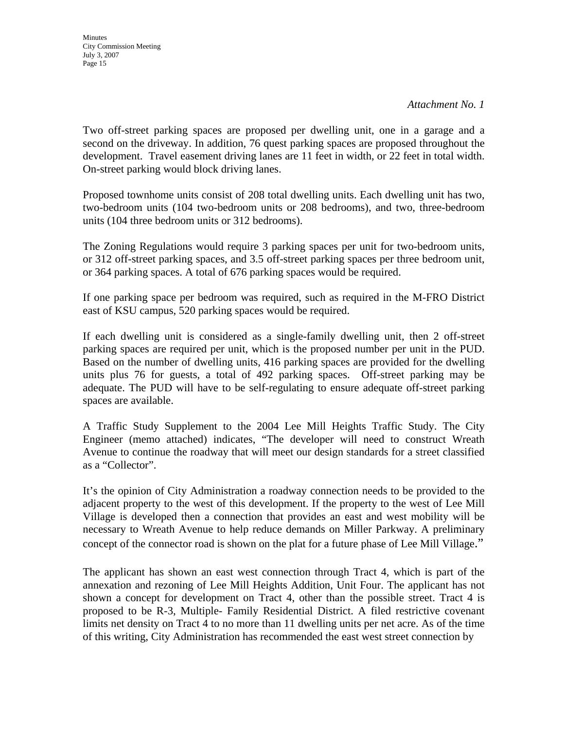*Attachment No. 1*

Two off-street parking spaces are proposed per dwelling unit, one in a garage and a second on the driveway. In addition, 76 quest parking spaces are proposed throughout the development. Travel easement driving lanes are 11 feet in width, or 22 feet in total width. On-street parking would block driving lanes.

Proposed townhome units consist of 208 total dwelling units. Each dwelling unit has two, two-bedroom units (104 two-bedroom units or 208 bedrooms), and two, three-bedroom units (104 three bedroom units or 312 bedrooms).

The Zoning Regulations would require 3 parking spaces per unit for two-bedroom units, or 312 off-street parking spaces, and 3.5 off-street parking spaces per three bedroom unit, or 364 parking spaces. A total of 676 parking spaces would be required.

If one parking space per bedroom was required, such as required in the M-FRO District east of KSU campus, 520 parking spaces would be required.

If each dwelling unit is considered as a single-family dwelling unit, then 2 off-street parking spaces are required per unit, which is the proposed number per unit in the PUD. Based on the number of dwelling units, 416 parking spaces are provided for the dwelling units plus 76 for guests, a total of 492 parking spaces. Off-street parking may be adequate. The PUD will have to be self-regulating to ensure adequate off-street parking spaces are available.

A Traffic Study Supplement to the 2004 Lee Mill Heights Traffic Study. The City Engineer (memo attached) indicates, "The developer will need to construct Wreath Avenue to continue the roadway that will meet our design standards for a street classified as a "Collector".

It's the opinion of City Administration a roadway connection needs to be provided to the adjacent property to the west of this development. If the property to the west of Lee Mill Village is developed then a connection that provides an east and west mobility will be necessary to Wreath Avenue to help reduce demands on Miller Parkway. A preliminary concept of the connector road is shown on the plat for a future phase of Lee Mill Village."

The applicant has shown an east west connection through Tract 4, which is part of the annexation and rezoning of Lee Mill Heights Addition, Unit Four. The applicant has not shown a concept for development on Tract 4, other than the possible street. Tract 4 is proposed to be R-3, Multiple- Family Residential District. A filed restrictive covenant limits net density on Tract 4 to no more than 11 dwelling units per net acre. As of the time of this writing, City Administration has recommended the east west street connection by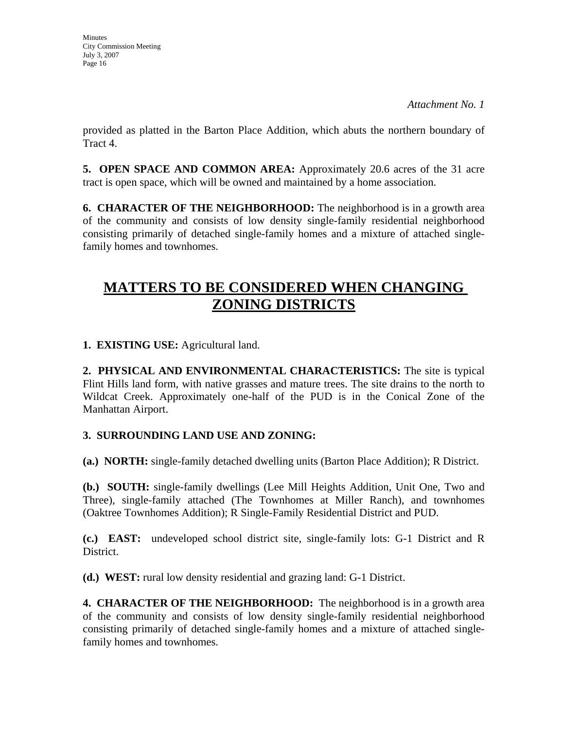*Attachment No. 1*

provided as platted in the Barton Place Addition, which abuts the northern boundary of Tract 4.

**5. OPEN SPACE AND COMMON AREA:** Approximately 20.6 acres of the 31 acre tract is open space, which will be owned and maintained by a home association.

**6. CHARACTER OF THE NEIGHBORHOOD:** The neighborhood is in a growth area of the community and consists of low density single-family residential neighborhood consisting primarily of detached single-family homes and a mixture of attached singlefamily homes and townhomes.

# **MATTERS TO BE CONSIDERED WHEN CHANGING ZONING DISTRICTS**

**1. EXISTING USE:** Agricultural land.

**2. PHYSICAL AND ENVIRONMENTAL CHARACTERISTICS:** The site is typical Flint Hills land form, with native grasses and mature trees. The site drains to the north to Wildcat Creek. Approximately one-half of the PUD is in the Conical Zone of the Manhattan Airport.

### **3. SURROUNDING LAND USE AND ZONING:**

**(a.) NORTH:** single-family detached dwelling units (Barton Place Addition); R District.

**(b.) SOUTH:** single-family dwellings (Lee Mill Heights Addition, Unit One, Two and Three), single-family attached (The Townhomes at Miller Ranch), and townhomes (Oaktree Townhomes Addition); R Single-Family Residential District and PUD.

**(c.) EAST:** undeveloped school district site, single-family lots: G-1 District and R District.

**(d.) WEST:** rural low density residential and grazing land: G-1 District.

**4. CHARACTER OF THE NEIGHBORHOOD:** The neighborhood is in a growth area of the community and consists of low density single-family residential neighborhood consisting primarily of detached single-family homes and a mixture of attached singlefamily homes and townhomes.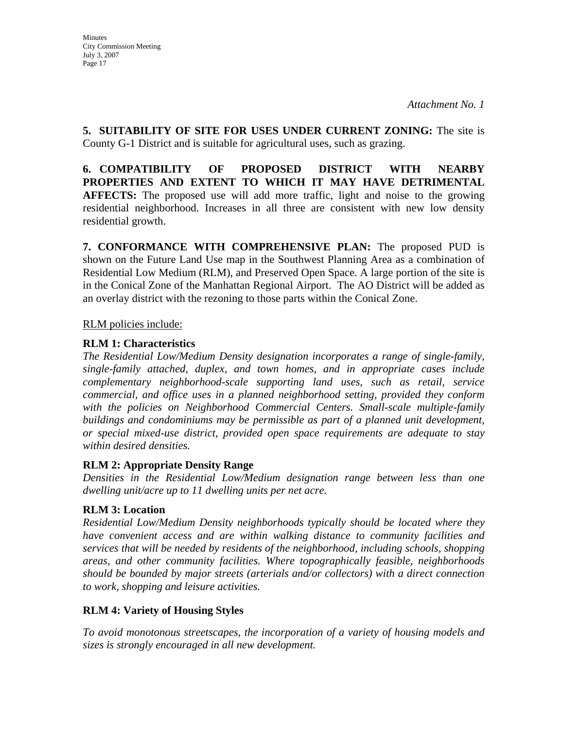**5. SUITABILITY OF SITE FOR USES UNDER CURRENT ZONING:** The site is County G-1 District and is suitable for agricultural uses, such as grazing.

**6. COMPATIBILITY OF PROPOSED DISTRICT WITH NEARBY PROPERTIES AND EXTENT TO WHICH IT MAY HAVE DETRIMENTAL AFFECTS:** The proposed use will add more traffic, light and noise to the growing residential neighborhood. Increases in all three are consistent with new low density residential growth.

**7. CONFORMANCE WITH COMPREHENSIVE PLAN:** The proposed PUD is shown on the Future Land Use map in the Southwest Planning Area as a combination of Residential Low Medium (RLM), and Preserved Open Space. A large portion of the site is in the Conical Zone of the Manhattan Regional Airport. The AO District will be added as an overlay district with the rezoning to those parts within the Conical Zone.

RLM policies include:

### **RLM 1: Characteristics**

*The Residential Low/Medium Density designation incorporates a range of single-family, single-family attached, duplex, and town homes, and in appropriate cases include complementary neighborhood-scale supporting land uses, such as retail, service commercial, and office uses in a planned neighborhood setting, provided they conform*  with the policies on Neighborhood Commercial Centers. Small-scale multiple-family *buildings and condominiums may be permissible as part of a planned unit development, or special mixed-use district, provided open space requirements are adequate to stay within desired densities.* 

### **RLM 2: Appropriate Density Range**

*Densities in the Residential Low/Medium designation range between less than one dwelling unit/acre up to 11 dwelling units per net acre.* 

### **RLM 3: Location**

*Residential Low/Medium Density neighborhoods typically should be located where they have convenient access and are within walking distance to community facilities and services that will be needed by residents of the neighborhood, including schools, shopping areas, and other community facilities. Where topographically feasible, neighborhoods should be bounded by major streets (arterials and/or collectors) with a direct connection to work, shopping and leisure activities.* 

### **RLM 4: Variety of Housing Styles**

*To avoid monotonous streetscapes, the incorporation of a variety of housing models and sizes is strongly encouraged in all new development.*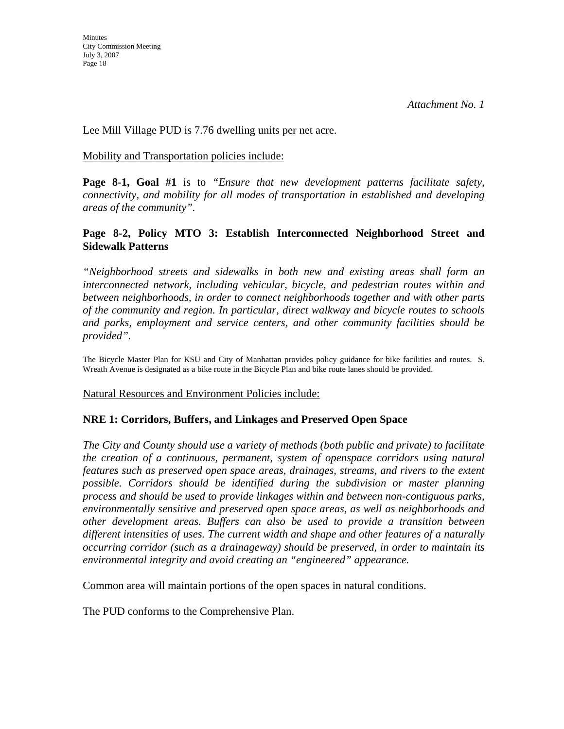Lee Mill Village PUD is 7.76 dwelling units per net acre.

#### Mobility and Transportation policies include:

**Page 8-1, Goal #1** is to *"Ensure that new development patterns facilitate safety, connectivity, and mobility for all modes of transportation in established and developing areas of the community".* 

### **Page 8-2, Policy MTO 3: Establish Interconnected Neighborhood Street and Sidewalk Patterns**

*"Neighborhood streets and sidewalks in both new and existing areas shall form an interconnected network, including vehicular, bicycle, and pedestrian routes within and between neighborhoods, in order to connect neighborhoods together and with other parts of the community and region. In particular, direct walkway and bicycle routes to schools and parks, employment and service centers, and other community facilities should be provided".* 

The Bicycle Master Plan for KSU and City of Manhattan provides policy guidance for bike facilities and routes. S. Wreath Avenue is designated as a bike route in the Bicycle Plan and bike route lanes should be provided.

Natural Resources and Environment Policies include:

### **NRE 1: Corridors, Buffers, and Linkages and Preserved Open Space**

*The City and County should use a variety of methods (both public and private) to facilitate the creation of a continuous, permanent, system of openspace corridors using natural features such as preserved open space areas, drainages, streams, and rivers to the extent possible. Corridors should be identified during the subdivision or master planning process and should be used to provide linkages within and between non-contiguous parks, environmentally sensitive and preserved open space areas, as well as neighborhoods and other development areas. Buffers can also be used to provide a transition between different intensities of uses. The current width and shape and other features of a naturally occurring corridor (such as a drainageway) should be preserved, in order to maintain its environmental integrity and avoid creating an "engineered" appearance.* 

Common area will maintain portions of the open spaces in natural conditions.

The PUD conforms to the Comprehensive Plan.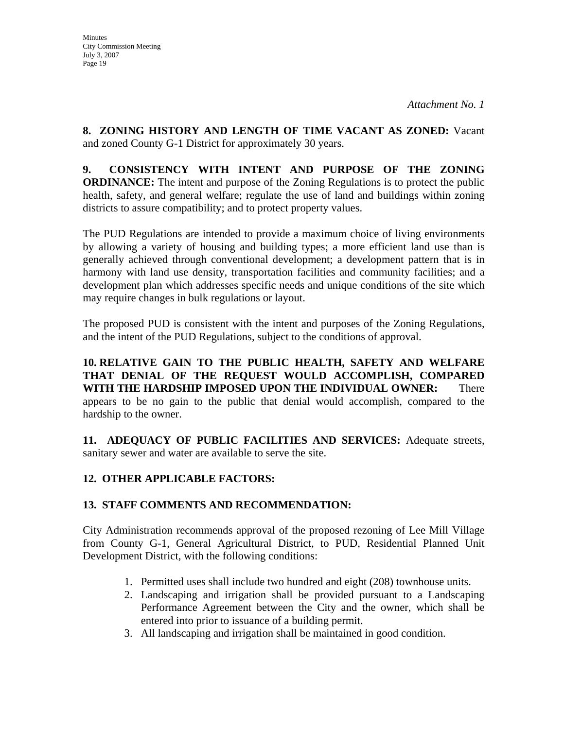**Minutes** City Commission Meeting July 3, 2007 Page 19

**8. ZONING HISTORY AND LENGTH OF TIME VACANT AS ZONED:** Vacant and zoned County G-1 District for approximately 30 years.

**9. CONSISTENCY WITH INTENT AND PURPOSE OF THE ZONING ORDINANCE:** The intent and purpose of the Zoning Regulations is to protect the public health, safety, and general welfare; regulate the use of land and buildings within zoning districts to assure compatibility; and to protect property values.

The PUD Regulations are intended to provide a maximum choice of living environments by allowing a variety of housing and building types; a more efficient land use than is generally achieved through conventional development; a development pattern that is in harmony with land use density, transportation facilities and community facilities; and a development plan which addresses specific needs and unique conditions of the site which may require changes in bulk regulations or layout.

The proposed PUD is consistent with the intent and purposes of the Zoning Regulations, and the intent of the PUD Regulations, subject to the conditions of approval.

**10. RELATIVE GAIN TO THE PUBLIC HEALTH, SAFETY AND WELFARE THAT DENIAL OF THE REQUEST WOULD ACCOMPLISH, COMPARED WITH THE HARDSHIP IMPOSED UPON THE INDIVIDUAL OWNER:** There appears to be no gain to the public that denial would accomplish, compared to the hardship to the owner.

**11. ADEQUACY OF PUBLIC FACILITIES AND SERVICES:** Adequate streets, sanitary sewer and water are available to serve the site.

### **12. OTHER APPLICABLE FACTORS:**

### **13. STAFF COMMENTS AND RECOMMENDATION:**

City Administration recommends approval of the proposed rezoning of Lee Mill Village from County G-1, General Agricultural District, to PUD, Residential Planned Unit Development District, with the following conditions:

- 1. Permitted uses shall include two hundred and eight (208) townhouse units.
- 2. Landscaping and irrigation shall be provided pursuant to a Landscaping Performance Agreement between the City and the owner, which shall be entered into prior to issuance of a building permit.
- 3. All landscaping and irrigation shall be maintained in good condition.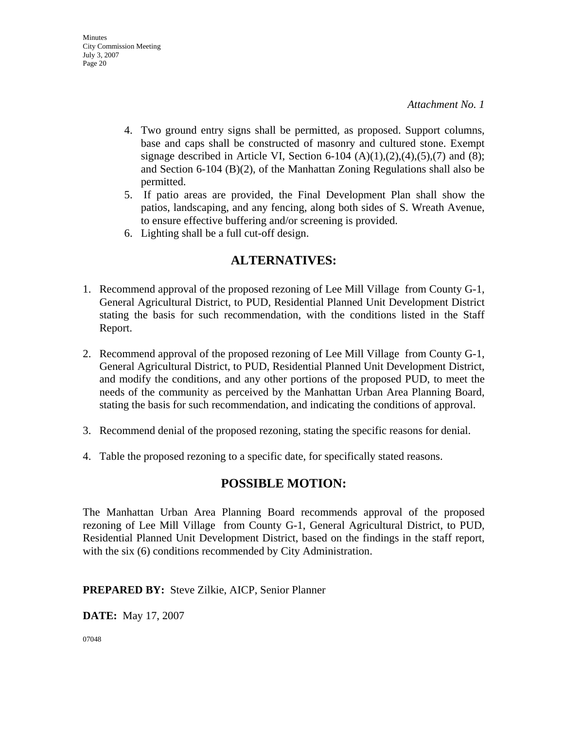- 4. Two ground entry signs shall be permitted, as proposed. Support columns, base and caps shall be constructed of masonry and cultured stone. Exempt signage described in Article VI, Section 6-104  $(A)(1),(2),(4),(5),(7)$  and  $(8)$ ; and Section 6-104 (B)(2), of the Manhattan Zoning Regulations shall also be permitted.
- 5. If patio areas are provided, the Final Development Plan shall show the patios, landscaping, and any fencing, along both sides of S. Wreath Avenue, to ensure effective buffering and/or screening is provided.
- 6. Lighting shall be a full cut-off design.

### **ALTERNATIVES:**

- 1. Recommend approval of the proposed rezoning of Lee Mill Village from County G-1, General Agricultural District, to PUD, Residential Planned Unit Development District stating the basis for such recommendation, with the conditions listed in the Staff Report.
- 2. Recommend approval of the proposed rezoning of Lee Mill Village from County G-1, General Agricultural District, to PUD, Residential Planned Unit Development District, and modify the conditions, and any other portions of the proposed PUD, to meet the needs of the community as perceived by the Manhattan Urban Area Planning Board, stating the basis for such recommendation, and indicating the conditions of approval.
- 3. Recommend denial of the proposed rezoning, stating the specific reasons for denial.
- 4. Table the proposed rezoning to a specific date, for specifically stated reasons.

### **POSSIBLE MOTION:**

The Manhattan Urban Area Planning Board recommends approval of the proposed rezoning of Lee Mill Village from County G-1, General Agricultural District, to PUD, Residential Planned Unit Development District, based on the findings in the staff report, with the six (6) conditions recommended by City Administration.

### **PREPARED BY:** Steve Zilkie, AICP, Senior Planner

**DATE:** May 17, 2007

07048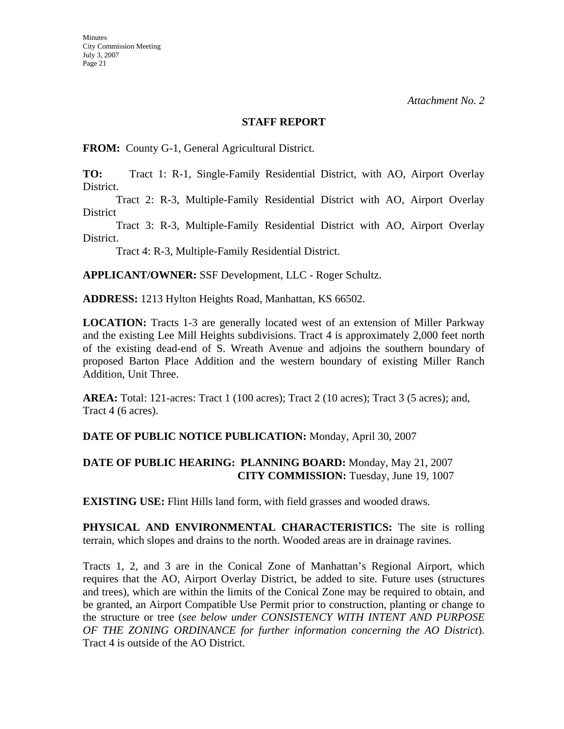**Minutes** 

*Attachment No. 2*

#### **STAFF REPORT**

**FROM:** County G-1, General Agricultural District.

**TO:** Tract 1: R-1, Single-Family Residential District, with AO, Airport Overlay District.

 Tract 2: R-3, Multiple-Family Residential District with AO, Airport Overlay District

 Tract 3: R-3, Multiple-Family Residential District with AO, Airport Overlay District.

Tract 4: R-3, Multiple-Family Residential District.

**APPLICANT/OWNER:** SSF Development, LLC - Roger Schultz.

**ADDRESS:** 1213 Hylton Heights Road, Manhattan, KS 66502.

**LOCATION:** Tracts 1-3 are generally located west of an extension of Miller Parkway and the existing Lee Mill Heights subdivisions. Tract 4 is approximately 2,000 feet north of the existing dead-end of S. Wreath Avenue and adjoins the southern boundary of proposed Barton Place Addition and the western boundary of existing Miller Ranch Addition, Unit Three.

**AREA:** Total: 121-acres: Tract 1 (100 acres); Tract 2 (10 acres); Tract 3 (5 acres); and, Tract 4 (6 acres).

### **DATE OF PUBLIC NOTICE PUBLICATION:** Monday, April 30, 2007

### **DATE OF PUBLIC HEARING: PLANNING BOARD:** Monday, May 21, 2007 **CITY COMMISSION:** Tuesday, June 19, 1007

**EXISTING USE:** Flint Hills land form, with field grasses and wooded draws.

**PHYSICAL AND ENVIRONMENTAL CHARACTERISTICS:** The site is rolling terrain, which slopes and drains to the north. Wooded areas are in drainage ravines.

Tracts 1, 2, and 3 are in the Conical Zone of Manhattan's Regional Airport, which requires that the AO, Airport Overlay District, be added to site. Future uses (structures and trees), which are within the limits of the Conical Zone may be required to obtain, and be granted, an Airport Compatible Use Permit prior to construction, planting or change to the structure or tree (*see below under CONSISTENCY WITH INTENT AND PURPOSE OF THE ZONING ORDINANCE for further information concerning the AO District*). Tract 4 is outside of the AO District.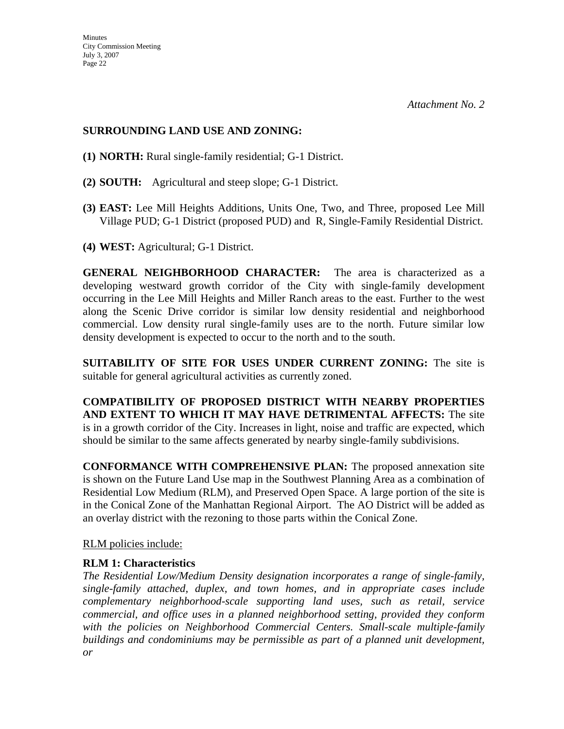### **SURROUNDING LAND USE AND ZONING:**

- **(1) NORTH:** Rural single-family residential; G-1 District.
- **(2) SOUTH:** Agricultural and steep slope; G-1 District.
- **(3) EAST:** Lee Mill Heights Additions, Units One, Two, and Three, proposed Lee Mill Village PUD; G-1 District (proposed PUD) and R, Single-Family Residential District.
- **(4) WEST:** Agricultural; G-1 District.

**GENERAL NEIGHBORHOOD CHARACTER:** The area is characterized as a developing westward growth corridor of the City with single-family development occurring in the Lee Mill Heights and Miller Ranch areas to the east. Further to the west along the Scenic Drive corridor is similar low density residential and neighborhood commercial. Low density rural single-family uses are to the north. Future similar low density development is expected to occur to the north and to the south.

**SUITABILITY OF SITE FOR USES UNDER CURRENT ZONING:** The site is suitable for general agricultural activities as currently zoned.

**COMPATIBILITY OF PROPOSED DISTRICT WITH NEARBY PROPERTIES AND EXTENT TO WHICH IT MAY HAVE DETRIMENTAL AFFECTS:** The site is in a growth corridor of the City. Increases in light, noise and traffic are expected, which should be similar to the same affects generated by nearby single-family subdivisions.

**CONFORMANCE WITH COMPREHENSIVE PLAN:** The proposed annexation site is shown on the Future Land Use map in the Southwest Planning Area as a combination of Residential Low Medium (RLM), and Preserved Open Space. A large portion of the site is in the Conical Zone of the Manhattan Regional Airport. The AO District will be added as an overlay district with the rezoning to those parts within the Conical Zone.

RLM policies include:

### **RLM 1: Characteristics**

*The Residential Low/Medium Density designation incorporates a range of single-family, single-family attached, duplex, and town homes, and in appropriate cases include complementary neighborhood-scale supporting land uses, such as retail, service commercial, and office uses in a planned neighborhood setting, provided they conform*  with the policies on Neighborhood Commercial Centers. Small-scale multiple-family *buildings and condominiums may be permissible as part of a planned unit development, or*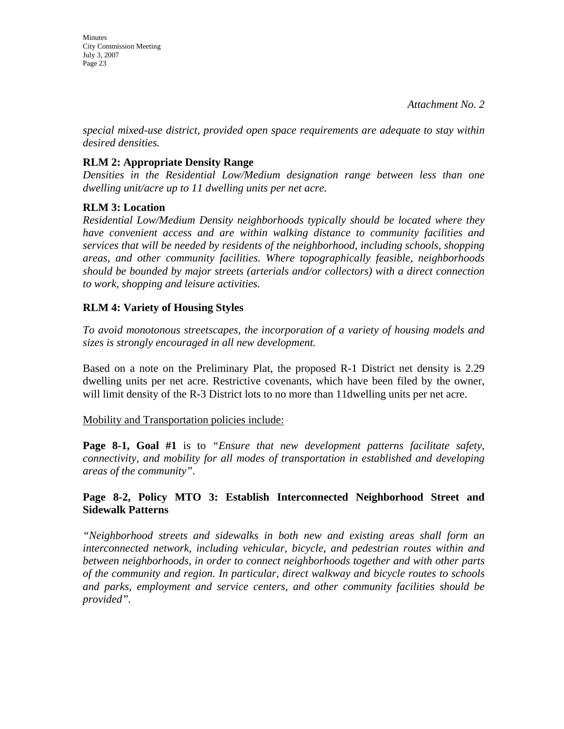**Minutes** City Commission Meeting July 3, 2007 Page 23

*special mixed-use district, provided open space requirements are adequate to stay within desired densities.* 

### **RLM 2: Appropriate Density Range**

*Densities in the Residential Low/Medium designation range between less than one dwelling unit/acre up to 11 dwelling units per net acre.* 

### **RLM 3: Location**

*Residential Low/Medium Density neighborhoods typically should be located where they have convenient access and are within walking distance to community facilities and services that will be needed by residents of the neighborhood, including schools, shopping areas, and other community facilities. Where topographically feasible, neighborhoods should be bounded by major streets (arterials and/or collectors) with a direct connection to work, shopping and leisure activities.* 

### **RLM 4: Variety of Housing Styles**

*To avoid monotonous streetscapes, the incorporation of a variety of housing models and sizes is strongly encouraged in all new development.* 

Based on a note on the Preliminary Plat, the proposed R-1 District net density is 2.29 dwelling units per net acre. Restrictive covenants, which have been filed by the owner, will limit density of the R-3 District lots to no more than 11dwelling units per net acre.

#### Mobility and Transportation policies include:

**Page 8-1, Goal #1** is to *"Ensure that new development patterns facilitate safety, connectivity, and mobility for all modes of transportation in established and developing areas of the community".* 

### **Page 8-2, Policy MTO 3: Establish Interconnected Neighborhood Street and Sidewalk Patterns**

*"Neighborhood streets and sidewalks in both new and existing areas shall form an interconnected network, including vehicular, bicycle, and pedestrian routes within and between neighborhoods, in order to connect neighborhoods together and with other parts of the community and region. In particular, direct walkway and bicycle routes to schools and parks, employment and service centers, and other community facilities should be provided".*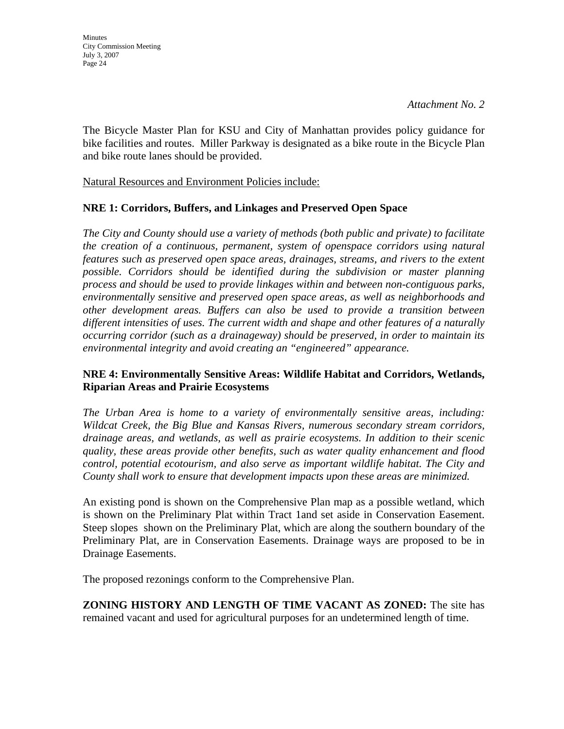*Attachment No. 2*

The Bicycle Master Plan for KSU and City of Manhattan provides policy guidance for bike facilities and routes. Miller Parkway is designated as a bike route in the Bicycle Plan and bike route lanes should be provided.

Natural Resources and Environment Policies include:

### **NRE 1: Corridors, Buffers, and Linkages and Preserved Open Space**

*The City and County should use a variety of methods (both public and private) to facilitate the creation of a continuous, permanent, system of openspace corridors using natural features such as preserved open space areas, drainages, streams, and rivers to the extent possible. Corridors should be identified during the subdivision or master planning process and should be used to provide linkages within and between non-contiguous parks, environmentally sensitive and preserved open space areas, as well as neighborhoods and other development areas. Buffers can also be used to provide a transition between different intensities of uses. The current width and shape and other features of a naturally occurring corridor (such as a drainageway) should be preserved, in order to maintain its environmental integrity and avoid creating an "engineered" appearance.* 

### **NRE 4: Environmentally Sensitive Areas: Wildlife Habitat and Corridors, Wetlands, Riparian Areas and Prairie Ecosystems**

*The Urban Area is home to a variety of environmentally sensitive areas, including: Wildcat Creek, the Big Blue and Kansas Rivers, numerous secondary stream corridors, drainage areas, and wetlands, as well as prairie ecosystems. In addition to their scenic quality, these areas provide other benefits, such as water quality enhancement and flood control, potential ecotourism, and also serve as important wildlife habitat. The City and County shall work to ensure that development impacts upon these areas are minimized.* 

An existing pond is shown on the Comprehensive Plan map as a possible wetland, which is shown on the Preliminary Plat within Tract 1and set aside in Conservation Easement. Steep slopes shown on the Preliminary Plat, which are along the southern boundary of the Preliminary Plat, are in Conservation Easements. Drainage ways are proposed to be in Drainage Easements.

The proposed rezonings conform to the Comprehensive Plan.

**ZONING HISTORY AND LENGTH OF TIME VACANT AS ZONED:** The site has remained vacant and used for agricultural purposes for an undetermined length of time.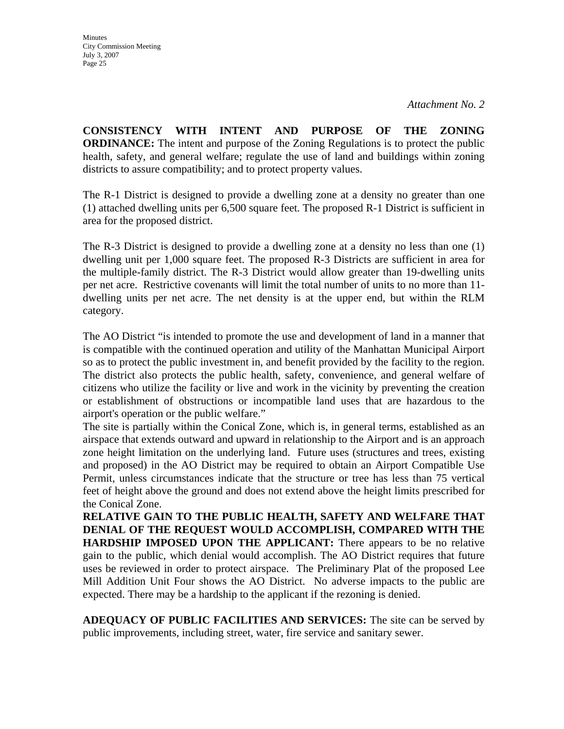**CONSISTENCY WITH INTENT AND PURPOSE OF THE ZONING ORDINANCE:** The intent and purpose of the Zoning Regulations is to protect the public health, safety, and general welfare; regulate the use of land and buildings within zoning districts to assure compatibility; and to protect property values.

The R-1 District is designed to provide a dwelling zone at a density no greater than one (1) attached dwelling units per 6,500 square feet. The proposed R-1 District is sufficient in area for the proposed district.

The R-3 District is designed to provide a dwelling zone at a density no less than one (1) dwelling unit per 1,000 square feet. The proposed R-3 Districts are sufficient in area for the multiple-family district. The R-3 District would allow greater than 19-dwelling units per net acre. Restrictive covenants will limit the total number of units to no more than 11 dwelling units per net acre. The net density is at the upper end, but within the RLM category.

The AO District "is intended to promote the use and development of land in a manner that is compatible with the continued operation and utility of the Manhattan Municipal Airport so as to protect the public investment in, and benefit provided by the facility to the region. The district also protects the public health, safety, convenience, and general welfare of citizens who utilize the facility or live and work in the vicinity by preventing the creation or establishment of obstructions or incompatible land uses that are hazardous to the airport's operation or the public welfare."

The site is partially within the Conical Zone, which is, in general terms, established as an airspace that extends outward and upward in relationship to the Airport and is an approach zone height limitation on the underlying land. Future uses (structures and trees, existing and proposed) in the AO District may be required to obtain an Airport Compatible Use Permit, unless circumstances indicate that the structure or tree has less than 75 vertical feet of height above the ground and does not extend above the height limits prescribed for the Conical Zone.

**RELATIVE GAIN TO THE PUBLIC HEALTH, SAFETY AND WELFARE THAT DENIAL OF THE REQUEST WOULD ACCOMPLISH, COMPARED WITH THE HARDSHIP IMPOSED UPON THE APPLICANT:** There appears to be no relative gain to the public, which denial would accomplish. The AO District requires that future uses be reviewed in order to protect airspace. The Preliminary Plat of the proposed Lee Mill Addition Unit Four shows the AO District. No adverse impacts to the public are expected. There may be a hardship to the applicant if the rezoning is denied.

**ADEQUACY OF PUBLIC FACILITIES AND SERVICES:** The site can be served by public improvements, including street, water, fire service and sanitary sewer.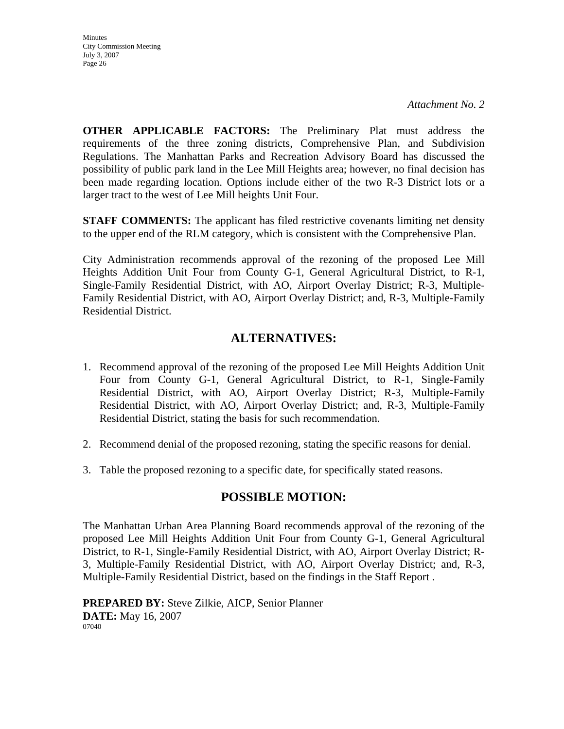**Minutes** City Commission Meeting July 3, 2007 Page 26

**OTHER APPLICABLE FACTORS:** The Preliminary Plat must address the requirements of the three zoning districts, Comprehensive Plan, and Subdivision Regulations. The Manhattan Parks and Recreation Advisory Board has discussed the possibility of public park land in the Lee Mill Heights area; however, no final decision has been made regarding location. Options include either of the two R-3 District lots or a larger tract to the west of Lee Mill heights Unit Four.

**STAFF COMMENTS:** The applicant has filed restrictive covenants limiting net density to the upper end of the RLM category, which is consistent with the Comprehensive Plan.

City Administration recommends approval of the rezoning of the proposed Lee Mill Heights Addition Unit Four from County G-1, General Agricultural District, to R-1, Single-Family Residential District, with AO, Airport Overlay District; R-3, Multiple-Family Residential District, with AO, Airport Overlay District; and, R-3, Multiple-Family Residential District.

### **ALTERNATIVES:**

- 1. Recommend approval of the rezoning of the proposed Lee Mill Heights Addition Unit Four from County G-1, General Agricultural District, to R-1, Single-Family Residential District, with AO, Airport Overlay District; R-3, Multiple-Family Residential District, with AO, Airport Overlay District; and, R-3, Multiple-Family Residential District, stating the basis for such recommendation.
- 2. Recommend denial of the proposed rezoning, stating the specific reasons for denial.
- 3. Table the proposed rezoning to a specific date, for specifically stated reasons.

### **POSSIBLE MOTION:**

The Manhattan Urban Area Planning Board recommends approval of the rezoning of the proposed Lee Mill Heights Addition Unit Four from County G-1, General Agricultural District, to R-1, Single-Family Residential District, with AO, Airport Overlay District; R-3, Multiple-Family Residential District, with AO, Airport Overlay District; and, R-3, Multiple-Family Residential District, based on the findings in the Staff Report .

**PREPARED BY:** Steve Zilkie, AICP, Senior Planner **DATE:** May 16, 2007 07040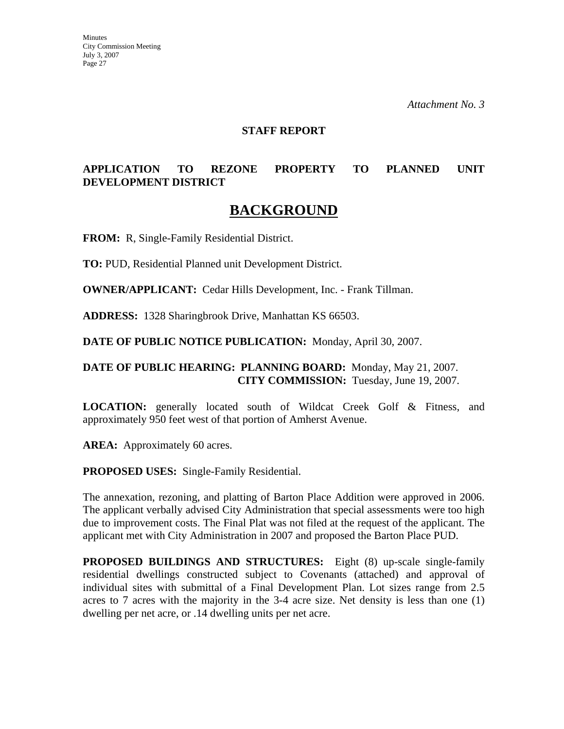*Attachment No. 3* 

#### **STAFF REPORT**

### **APPLICATION TO REZONE PROPERTY TO PLANNED UNIT DEVELOPMENT DISTRICT**

### **BACKGROUND**

**FROM:** R, Single-Family Residential District.

**TO:** PUD, Residential Planned unit Development District.

**OWNER/APPLICANT:** Cedar Hills Development, Inc. - Frank Tillman.

**ADDRESS:** 1328 Sharingbrook Drive, Manhattan KS 66503.

**DATE OF PUBLIC NOTICE PUBLICATION:** Monday, April 30, 2007.

#### **DATE OF PUBLIC HEARING: PLANNING BOARD:** Monday, May 21, 2007. **CITY COMMISSION:** Tuesday, June 19, 2007.

**LOCATION:** generally located south of Wildcat Creek Golf & Fitness, and approximately 950 feet west of that portion of Amherst Avenue.

AREA: Approximately 60 acres.

**PROPOSED USES:** Single-Family Residential.

The annexation, rezoning, and platting of Barton Place Addition were approved in 2006. The applicant verbally advised City Administration that special assessments were too high due to improvement costs. The Final Plat was not filed at the request of the applicant. The applicant met with City Administration in 2007 and proposed the Barton Place PUD.

**PROPOSED BUILDINGS AND STRUCTURES:** Eight (8) up-scale single-family residential dwellings constructed subject to Covenants (attached) and approval of individual sites with submittal of a Final Development Plan. Lot sizes range from 2.5 acres to 7 acres with the majority in the 3-4 acre size. Net density is less than one (1) dwelling per net acre, or .14 dwelling units per net acre.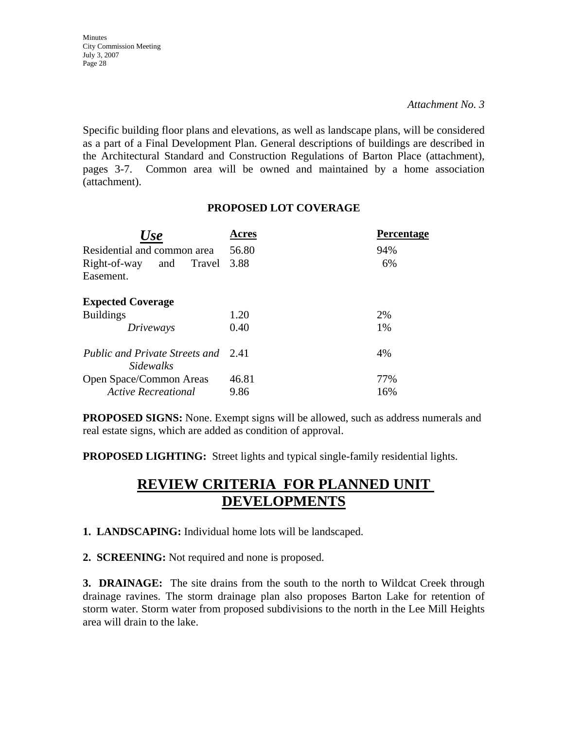Specific building floor plans and elevations, as well as landscape plans, will be considered as a part of a Final Development Plan. General descriptions of buildings are described in the Architectural Standard and Construction Regulations of Barton Place (attachment), pages 3-7. Common area will be owned and maintained by a home association (attachment).

### **PROPOSED LOT COVERAGE**

| Use                                                     | Acres | <b>Percentage</b> |
|---------------------------------------------------------|-------|-------------------|
| Residential and common area                             | 56.80 | 94%               |
| Right-of-way<br>Travel<br>and<br>Easement.              | 3.88  | 6%                |
| <b>Expected Coverage</b>                                |       |                   |
| <b>Buildings</b>                                        | 1.20  | 2%                |
| Driveways                                               | 0.40  | 1%                |
| Public and Private Streets and 2.41<br><i>Sidewalks</i> |       | 4%                |
| Open Space/Common Areas                                 | 46.81 | 77%               |
| <b>Active Recreational</b>                              | 9.86  | 16%               |

**PROPOSED SIGNS:** None. Exempt signs will be allowed, such as address numerals and real estate signs, which are added as condition of approval.

**PROPOSED LIGHTING:** Street lights and typical single-family residential lights.

# **REVIEW CRITERIA FOR PLANNED UNIT DEVELOPMENTS**

**1. LANDSCAPING:** Individual home lots will be landscaped.

**2. SCREENING:** Not required and none is proposed.

**3. DRAINAGE:** The site drains from the south to the north to Wildcat Creek through drainage ravines. The storm drainage plan also proposes Barton Lake for retention of storm water. Storm water from proposed subdivisions to the north in the Lee Mill Heights area will drain to the lake.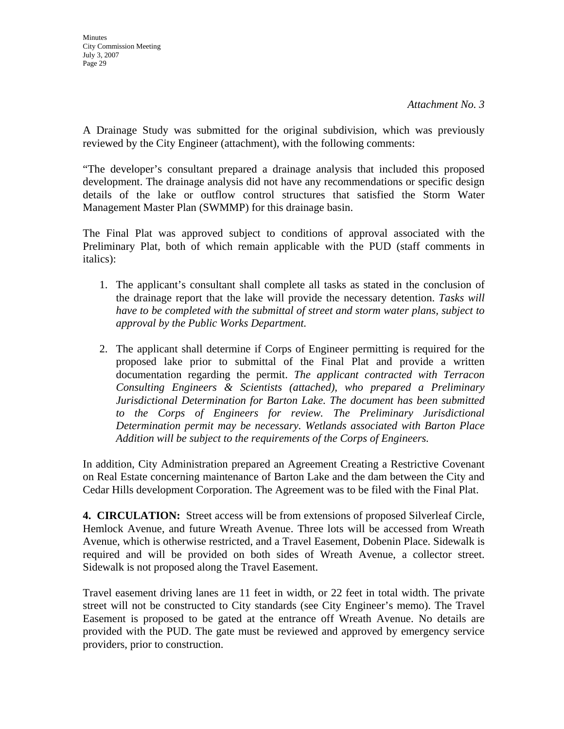A Drainage Study was submitted for the original subdivision, which was previously reviewed by the City Engineer (attachment), with the following comments:

"The developer's consultant prepared a drainage analysis that included this proposed development. The drainage analysis did not have any recommendations or specific design details of the lake or outflow control structures that satisfied the Storm Water Management Master Plan (SWMMP) for this drainage basin.

The Final Plat was approved subject to conditions of approval associated with the Preliminary Plat, both of which remain applicable with the PUD (staff comments in italics):

- 1. The applicant's consultant shall complete all tasks as stated in the conclusion of the drainage report that the lake will provide the necessary detention. *Tasks will have to be completed with the submittal of street and storm water plans, subject to approval by the Public Works Department.*
- 2. The applicant shall determine if Corps of Engineer permitting is required for the proposed lake prior to submittal of the Final Plat and provide a written documentation regarding the permit. *The applicant contracted with Terracon Consulting Engineers & Scientists (attached), who prepared a Preliminary Jurisdictional Determination for Barton Lake. The document has been submitted to the Corps of Engineers for review. The Preliminary Jurisdictional Determination permit may be necessary. Wetlands associated with Barton Place Addition will be subject to the requirements of the Corps of Engineers.*

In addition, City Administration prepared an Agreement Creating a Restrictive Covenant on Real Estate concerning maintenance of Barton Lake and the dam between the City and Cedar Hills development Corporation. The Agreement was to be filed with the Final Plat.

**4. CIRCULATION:** Street access will be from extensions of proposed Silverleaf Circle, Hemlock Avenue, and future Wreath Avenue. Three lots will be accessed from Wreath Avenue, which is otherwise restricted, and a Travel Easement, Dobenin Place. Sidewalk is required and will be provided on both sides of Wreath Avenue, a collector street. Sidewalk is not proposed along the Travel Easement.

Travel easement driving lanes are 11 feet in width, or 22 feet in total width. The private street will not be constructed to City standards (see City Engineer's memo). The Travel Easement is proposed to be gated at the entrance off Wreath Avenue. No details are provided with the PUD. The gate must be reviewed and approved by emergency service providers, prior to construction.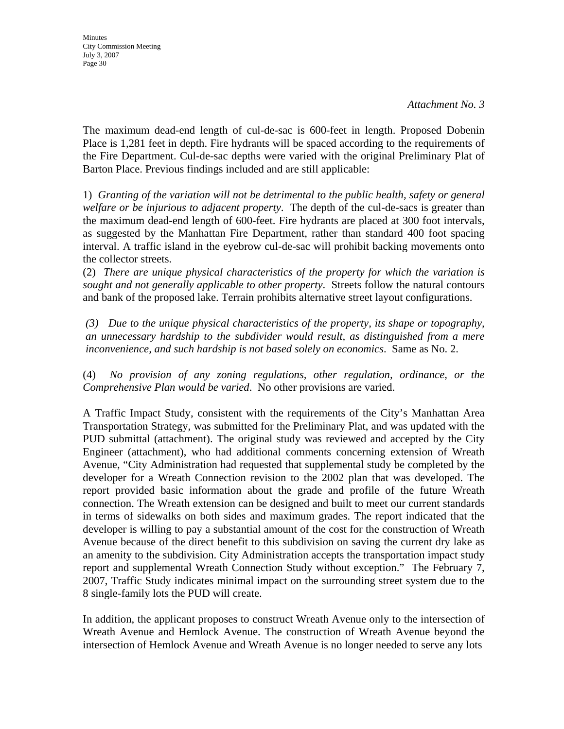**Minutes** City Commission Meeting July 3, 2007 Page 30

The maximum dead-end length of cul-de-sac is 600-feet in length. Proposed Dobenin Place is 1,281 feet in depth. Fire hydrants will be spaced according to the requirements of the Fire Department. Cul-de-sac depths were varied with the original Preliminary Plat of Barton Place. Previous findings included and are still applicable:

1) *Granting of the variation will not be detrimental to the public health, safety or general welfare or be injurious to adjacent property*. The depth of the cul-de-sacs is greater than the maximum dead-end length of 600-feet. Fire hydrants are placed at 300 foot intervals, as suggested by the Manhattan Fire Department, rather than standard 400 foot spacing interval. A traffic island in the eyebrow cul-de-sac will prohibit backing movements onto the collector streets.

(2) *There are unique physical characteristics of the property for which the variation is sought and not generally applicable to other property*. Streets follow the natural contours and bank of the proposed lake. Terrain prohibits alternative street layout configurations.

*(3) Due to the unique physical characteristics of the property, its shape or topography, an unnecessary hardship to the subdivider would result, as distinguished from a mere inconvenience, and such hardship is not based solely on economics*. Same as No. 2.

(4) *No provision of any zoning regulations, other regulation, ordinance, or the Comprehensive Plan would be varied*. No other provisions are varied.

A Traffic Impact Study, consistent with the requirements of the City's Manhattan Area Transportation Strategy, was submitted for the Preliminary Plat, and was updated with the PUD submittal (attachment). The original study was reviewed and accepted by the City Engineer (attachment), who had additional comments concerning extension of Wreath Avenue, "City Administration had requested that supplemental study be completed by the developer for a Wreath Connection revision to the 2002 plan that was developed. The report provided basic information about the grade and profile of the future Wreath connection. The Wreath extension can be designed and built to meet our current standards in terms of sidewalks on both sides and maximum grades. The report indicated that the developer is willing to pay a substantial amount of the cost for the construction of Wreath Avenue because of the direct benefit to this subdivision on saving the current dry lake as an amenity to the subdivision. City Administration accepts the transportation impact study report and supplemental Wreath Connection Study without exception." The February 7, 2007, Traffic Study indicates minimal impact on the surrounding street system due to the 8 single-family lots the PUD will create.

In addition, the applicant proposes to construct Wreath Avenue only to the intersection of Wreath Avenue and Hemlock Avenue. The construction of Wreath Avenue beyond the intersection of Hemlock Avenue and Wreath Avenue is no longer needed to serve any lots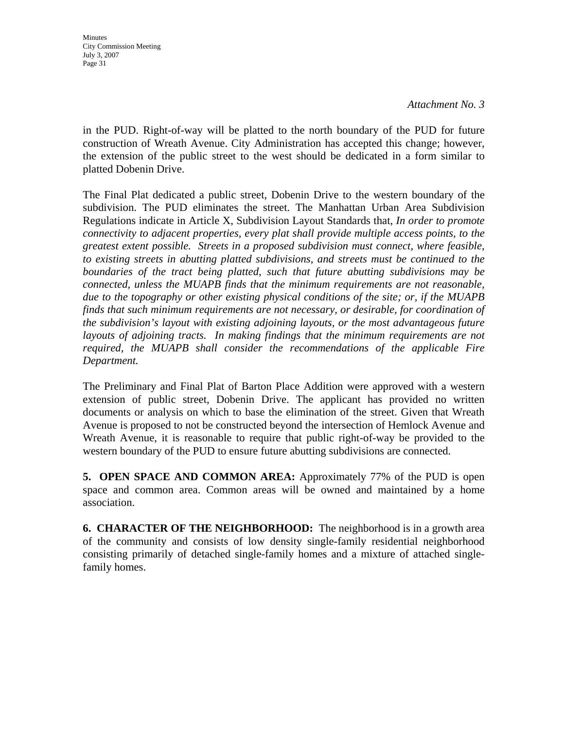*Attachment No. 3* 

in the PUD. Right-of-way will be platted to the north boundary of the PUD for future construction of Wreath Avenue. City Administration has accepted this change; however, the extension of the public street to the west should be dedicated in a form similar to platted Dobenin Drive.

The Final Plat dedicated a public street, Dobenin Drive to the western boundary of the subdivision. The PUD eliminates the street. The Manhattan Urban Area Subdivision Regulations indicate in Article X, Subdivision Layout Standards that, *In order to promote connectivity to adjacent properties, every plat shall provide multiple access points, to the greatest extent possible. Streets in a proposed subdivision must connect, where feasible, to existing streets in abutting platted subdivisions, and streets must be continued to the boundaries of the tract being platted, such that future abutting subdivisions may be connected, unless the MUAPB finds that the minimum requirements are not reasonable, due to the topography or other existing physical conditions of the site; or, if the MUAPB finds that such minimum requirements are not necessary, or desirable, for coordination of the subdivision's layout with existing adjoining layouts, or the most advantageous future*  layouts of adjoining tracts. In making findings that the minimum requirements are not *required, the MUAPB shall consider the recommendations of the applicable Fire Department.*

The Preliminary and Final Plat of Barton Place Addition were approved with a western extension of public street, Dobenin Drive. The applicant has provided no written documents or analysis on which to base the elimination of the street. Given that Wreath Avenue is proposed to not be constructed beyond the intersection of Hemlock Avenue and Wreath Avenue, it is reasonable to require that public right-of-way be provided to the western boundary of the PUD to ensure future abutting subdivisions are connected.

**5. OPEN SPACE AND COMMON AREA:** Approximately 77% of the PUD is open space and common area. Common areas will be owned and maintained by a home association.

**6. CHARACTER OF THE NEIGHBORHOOD:** The neighborhood is in a growth area of the community and consists of low density single-family residential neighborhood consisting primarily of detached single-family homes and a mixture of attached singlefamily homes.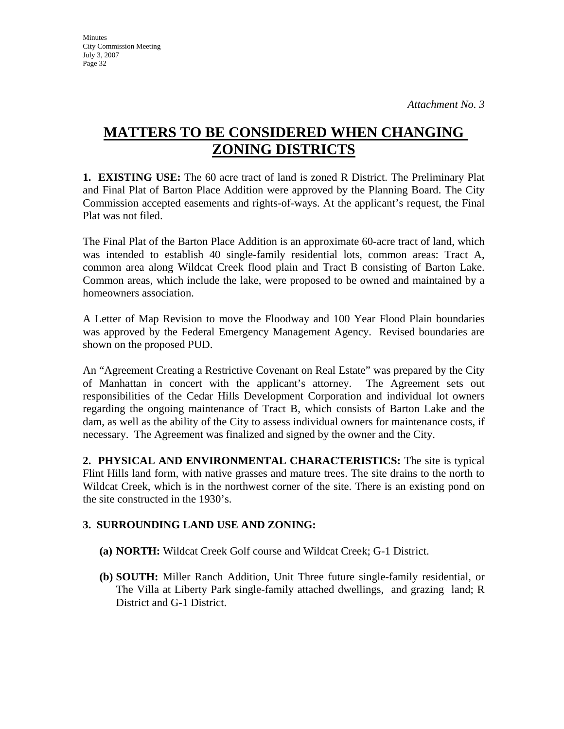**Minutes** City Commission Meeting July 3, 2007 Page 32

# **MATTERS TO BE CONSIDERED WHEN CHANGING ZONING DISTRICTS**

**1. EXISTING USE:** The 60 acre tract of land is zoned R District. The Preliminary Plat and Final Plat of Barton Place Addition were approved by the Planning Board. The City Commission accepted easements and rights-of-ways. At the applicant's request, the Final Plat was not filed.

The Final Plat of the Barton Place Addition is an approximate 60-acre tract of land, which was intended to establish 40 single-family residential lots, common areas: Tract A, common area along Wildcat Creek flood plain and Tract B consisting of Barton Lake. Common areas, which include the lake, were proposed to be owned and maintained by a homeowners association.

A Letter of Map Revision to move the Floodway and 100 Year Flood Plain boundaries was approved by the Federal Emergency Management Agency. Revised boundaries are shown on the proposed PUD.

An "Agreement Creating a Restrictive Covenant on Real Estate" was prepared by the City of Manhattan in concert with the applicant's attorney. The Agreement sets out responsibilities of the Cedar Hills Development Corporation and individual lot owners regarding the ongoing maintenance of Tract B, which consists of Barton Lake and the dam, as well as the ability of the City to assess individual owners for maintenance costs, if necessary. The Agreement was finalized and signed by the owner and the City.

**2. PHYSICAL AND ENVIRONMENTAL CHARACTERISTICS:** The site is typical Flint Hills land form, with native grasses and mature trees. The site drains to the north to Wildcat Creek, which is in the northwest corner of the site. There is an existing pond on the site constructed in the 1930's.

### **3. SURROUNDING LAND USE AND ZONING:**

- **(a) NORTH:** Wildcat Creek Golf course and Wildcat Creek; G-1 District.
- **(b) SOUTH:** Miller Ranch Addition, Unit Three future single-family residential, or The Villa at Liberty Park single-family attached dwellings, and grazing land; R District and G-1 District.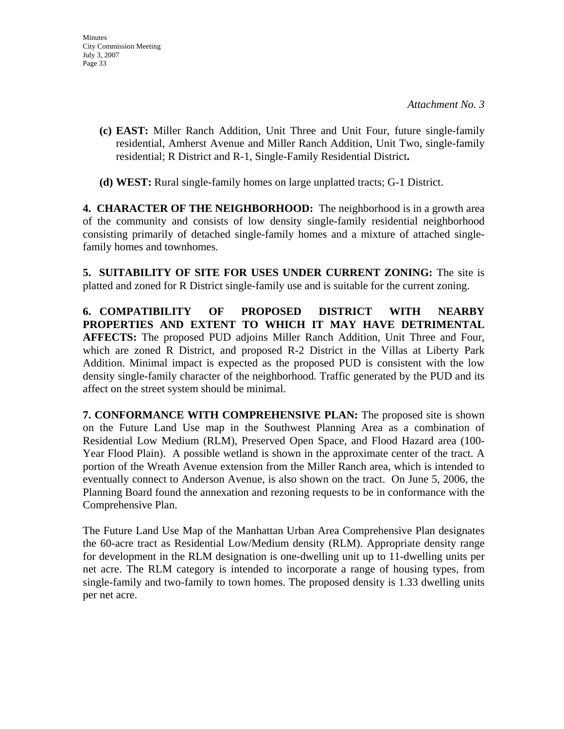- **(c) EAST:** Miller Ranch Addition, Unit Three and Unit Four, future single-family residential, Amherst Avenue and Miller Ranch Addition, Unit Two, single-family residential; R District and R-1, Single-Family Residential District**.**
- **(d) WEST:** Rural single-family homes on large unplatted tracts; G-1 District.

**4. CHARACTER OF THE NEIGHBORHOOD:** The neighborhood is in a growth area of the community and consists of low density single-family residential neighborhood consisting primarily of detached single-family homes and a mixture of attached singlefamily homes and townhomes.

**5. SUITABILITY OF SITE FOR USES UNDER CURRENT ZONING:** The site is platted and zoned for R District single-family use and is suitable for the current zoning.

**6. COMPATIBILITY OF PROPOSED DISTRICT WITH NEARBY PROPERTIES AND EXTENT TO WHICH IT MAY HAVE DETRIMENTAL AFFECTS:** The proposed PUD adjoins Miller Ranch Addition, Unit Three and Four, which are zoned R District, and proposed R-2 District in the Villas at Liberty Park Addition. Minimal impact is expected as the proposed PUD is consistent with the low density single-family character of the neighborhood. Traffic generated by the PUD and its affect on the street system should be minimal.

**7. CONFORMANCE WITH COMPREHENSIVE PLAN:** The proposed site is shown on the Future Land Use map in the Southwest Planning Area as a combination of Residential Low Medium (RLM), Preserved Open Space, and Flood Hazard area (100- Year Flood Plain). A possible wetland is shown in the approximate center of the tract. A portion of the Wreath Avenue extension from the Miller Ranch area, which is intended to eventually connect to Anderson Avenue, is also shown on the tract. On June 5, 2006, the Planning Board found the annexation and rezoning requests to be in conformance with the Comprehensive Plan.

The Future Land Use Map of the Manhattan Urban Area Comprehensive Plan designates the 60-acre tract as Residential Low/Medium density (RLM). Appropriate density range for development in the RLM designation is one-dwelling unit up to 11-dwelling units per net acre. The RLM category is intended to incorporate a range of housing types, from single-family and two-family to town homes. The proposed density is 1.33 dwelling units per net acre.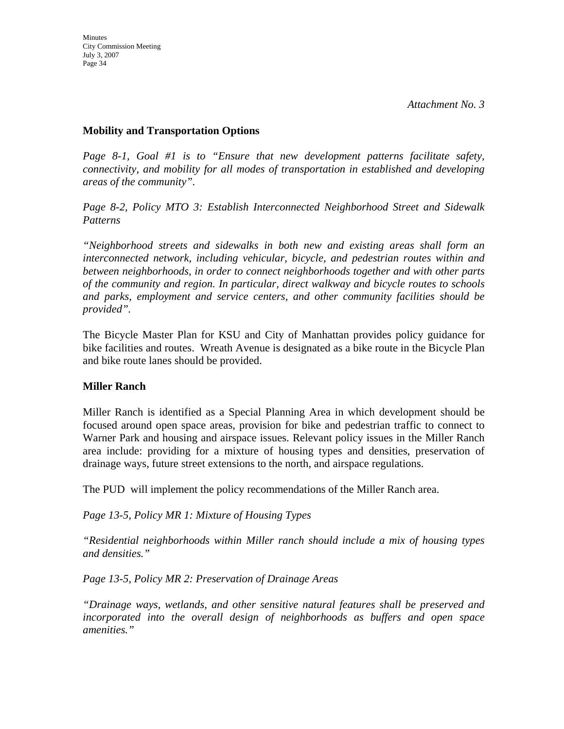#### **Mobility and Transportation Options**

*Page 8-1, Goal #1 is to "Ensure that new development patterns facilitate safety, connectivity, and mobility for all modes of transportation in established and developing areas of the community".* 

*Page 8-2, Policy MTO 3: Establish Interconnected Neighborhood Street and Sidewalk Patterns* 

*"Neighborhood streets and sidewalks in both new and existing areas shall form an interconnected network, including vehicular, bicycle, and pedestrian routes within and between neighborhoods, in order to connect neighborhoods together and with other parts of the community and region. In particular, direct walkway and bicycle routes to schools and parks, employment and service centers, and other community facilities should be provided".* 

The Bicycle Master Plan for KSU and City of Manhattan provides policy guidance for bike facilities and routes. Wreath Avenue is designated as a bike route in the Bicycle Plan and bike route lanes should be provided.

### **Miller Ranch**

Miller Ranch is identified as a Special Planning Area in which development should be focused around open space areas, provision for bike and pedestrian traffic to connect to Warner Park and housing and airspace issues. Relevant policy issues in the Miller Ranch area include: providing for a mixture of housing types and densities, preservation of drainage ways, future street extensions to the north, and airspace regulations.

The PUD will implement the policy recommendations of the Miller Ranch area.

*Page 13-5, Policy MR 1: Mixture of Housing Types* 

*"Residential neighborhoods within Miller ranch should include a mix of housing types and densities."* 

*Page 13-5, Policy MR 2: Preservation of Drainage Areas* 

*"Drainage ways, wetlands, and other sensitive natural features shall be preserved and incorporated into the overall design of neighborhoods as buffers and open space amenities."*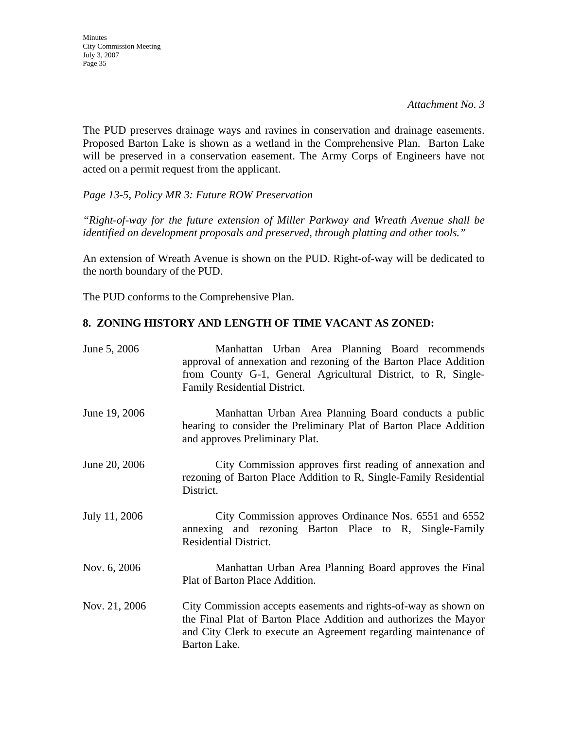*Attachment No. 3* 

The PUD preserves drainage ways and ravines in conservation and drainage easements. Proposed Barton Lake is shown as a wetland in the Comprehensive Plan. Barton Lake will be preserved in a conservation easement. The Army Corps of Engineers have not acted on a permit request from the applicant.

*Page 13-5, Policy MR 3: Future ROW Preservation* 

*"Right-of-way for the future extension of Miller Parkway and Wreath Avenue shall be identified on development proposals and preserved, through platting and other tools."* 

An extension of Wreath Avenue is shown on the PUD. Right-of-way will be dedicated to the north boundary of the PUD.

The PUD conforms to the Comprehensive Plan.

### **8. ZONING HISTORY AND LENGTH OF TIME VACANT AS ZONED:**

| June 5, 2006  | Manhattan Urban Area Planning Board recommends<br>approval of annexation and rezoning of the Barton Place Addition<br>from County G-1, General Agricultural District, to R, Single-<br>Family Residential District.    |
|---------------|------------------------------------------------------------------------------------------------------------------------------------------------------------------------------------------------------------------------|
| June 19, 2006 | Manhattan Urban Area Planning Board conducts a public<br>hearing to consider the Preliminary Plat of Barton Place Addition<br>and approves Preliminary Plat.                                                           |
| June 20, 2006 | City Commission approves first reading of annexation and<br>rezoning of Barton Place Addition to R, Single-Family Residential<br>District.                                                                             |
| July 11, 2006 | City Commission approves Ordinance Nos. 6551 and 6552<br>annexing and rezoning Barton Place to R, Single-Family<br><b>Residential District.</b>                                                                        |
| Nov. 6, 2006  | Manhattan Urban Area Planning Board approves the Final<br>Plat of Barton Place Addition.                                                                                                                               |
| Nov. 21, 2006 | City Commission accepts easements and rights-of-way as shown on<br>the Final Plat of Barton Place Addition and authorizes the Mayor<br>and City Clerk to execute an Agreement regarding maintenance of<br>Barton Lake. |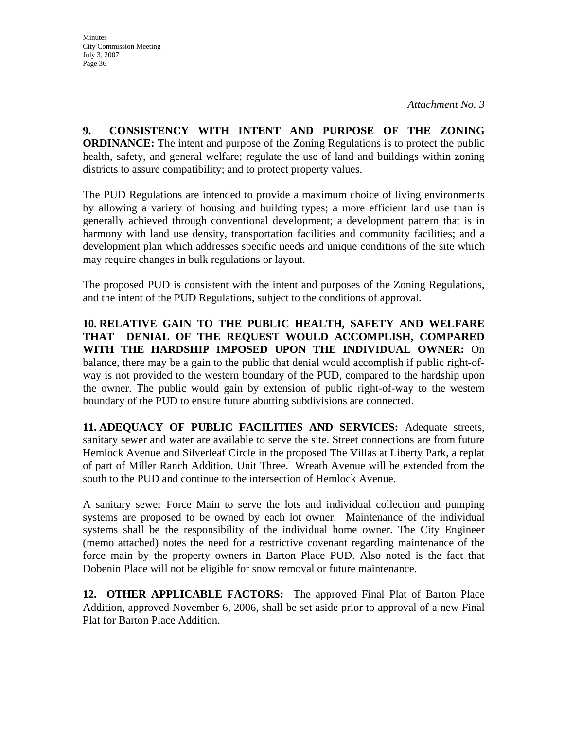**9. CONSISTENCY WITH INTENT AND PURPOSE OF THE ZONING ORDINANCE:** The intent and purpose of the Zoning Regulations is to protect the public health, safety, and general welfare; regulate the use of land and buildings within zoning districts to assure compatibility; and to protect property values.

The PUD Regulations are intended to provide a maximum choice of living environments by allowing a variety of housing and building types; a more efficient land use than is generally achieved through conventional development; a development pattern that is in harmony with land use density, transportation facilities and community facilities; and a development plan which addresses specific needs and unique conditions of the site which may require changes in bulk regulations or layout.

The proposed PUD is consistent with the intent and purposes of the Zoning Regulations, and the intent of the PUD Regulations, subject to the conditions of approval.

**10. RELATIVE GAIN TO THE PUBLIC HEALTH, SAFETY AND WELFARE THAT DENIAL OF THE REQUEST WOULD ACCOMPLISH, COMPARED WITH THE HARDSHIP IMPOSED UPON THE INDIVIDUAL OWNER:** On balance, there may be a gain to the public that denial would accomplish if public right-ofway is not provided to the western boundary of the PUD, compared to the hardship upon the owner. The public would gain by extension of public right-of-way to the western boundary of the PUD to ensure future abutting subdivisions are connected.

**11. ADEQUACY OF PUBLIC FACILITIES AND SERVICES:** Adequate streets, sanitary sewer and water are available to serve the site. Street connections are from future Hemlock Avenue and Silverleaf Circle in the proposed The Villas at Liberty Park, a replat of part of Miller Ranch Addition, Unit Three. Wreath Avenue will be extended from the south to the PUD and continue to the intersection of Hemlock Avenue.

A sanitary sewer Force Main to serve the lots and individual collection and pumping systems are proposed to be owned by each lot owner. Maintenance of the individual systems shall be the responsibility of the individual home owner. The City Engineer (memo attached) notes the need for a restrictive covenant regarding maintenance of the force main by the property owners in Barton Place PUD. Also noted is the fact that Dobenin Place will not be eligible for snow removal or future maintenance.

**12. OTHER APPLICABLE FACTORS:** The approved Final Plat of Barton Place Addition, approved November 6, 2006, shall be set aside prior to approval of a new Final Plat for Barton Place Addition.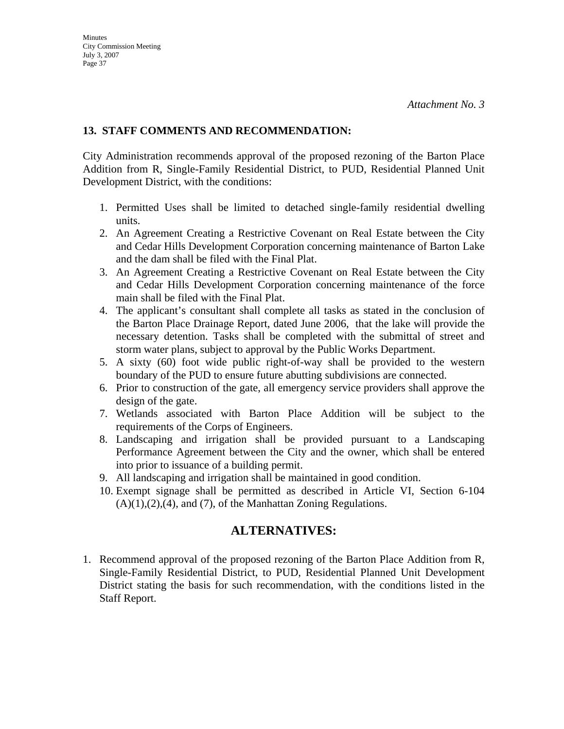### **13. STAFF COMMENTS AND RECOMMENDATION:**

City Administration recommends approval of the proposed rezoning of the Barton Place Addition from R, Single-Family Residential District, to PUD, Residential Planned Unit Development District, with the conditions:

- 1. Permitted Uses shall be limited to detached single-family residential dwelling units.
- 2. An Agreement Creating a Restrictive Covenant on Real Estate between the City and Cedar Hills Development Corporation concerning maintenance of Barton Lake and the dam shall be filed with the Final Plat.
- 3. An Agreement Creating a Restrictive Covenant on Real Estate between the City and Cedar Hills Development Corporation concerning maintenance of the force main shall be filed with the Final Plat.
- 4. The applicant's consultant shall complete all tasks as stated in the conclusion of the Barton Place Drainage Report, dated June 2006, that the lake will provide the necessary detention. Tasks shall be completed with the submittal of street and storm water plans, subject to approval by the Public Works Department.
- 5. A sixty (60) foot wide public right-of-way shall be provided to the western boundary of the PUD to ensure future abutting subdivisions are connected.
- 6. Prior to construction of the gate, all emergency service providers shall approve the design of the gate.
- 7. Wetlands associated with Barton Place Addition will be subject to the requirements of the Corps of Engineers.
- 8. Landscaping and irrigation shall be provided pursuant to a Landscaping Performance Agreement between the City and the owner, which shall be entered into prior to issuance of a building permit.
- 9. All landscaping and irrigation shall be maintained in good condition.
- 10. Exempt signage shall be permitted as described in Article VI, Section 6-104  $(A)(1),(2),(4)$ , and  $(7)$ , of the Manhattan Zoning Regulations.

### **ALTERNATIVES:**

1. Recommend approval of the proposed rezoning of the Barton Place Addition from R, Single-Family Residential District, to PUD, Residential Planned Unit Development District stating the basis for such recommendation, with the conditions listed in the Staff Report.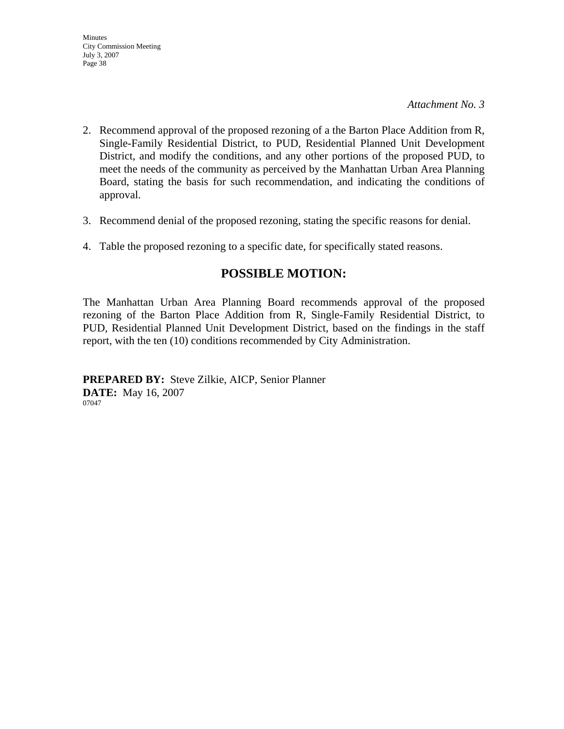*Attachment No. 3* 

- 2. Recommend approval of the proposed rezoning of a the Barton Place Addition from R, Single-Family Residential District, to PUD, Residential Planned Unit Development District, and modify the conditions, and any other portions of the proposed PUD, to meet the needs of the community as perceived by the Manhattan Urban Area Planning Board, stating the basis for such recommendation, and indicating the conditions of approval.
- 3. Recommend denial of the proposed rezoning, stating the specific reasons for denial.
- 4. Table the proposed rezoning to a specific date, for specifically stated reasons.

### **POSSIBLE MOTION:**

The Manhattan Urban Area Planning Board recommends approval of the proposed rezoning of the Barton Place Addition from R, Single-Family Residential District, to PUD, Residential Planned Unit Development District, based on the findings in the staff report, with the ten (10) conditions recommended by City Administration.

**PREPARED BY:** Steve Zilkie, AICP, Senior Planner **DATE:** May 16, 2007 07047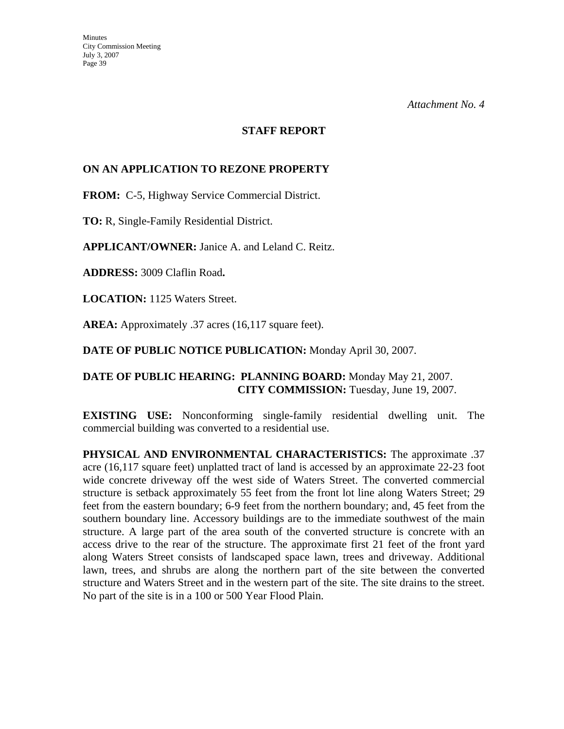### **STAFF REPORT**

### **ON AN APPLICATION TO REZONE PROPERTY**

**FROM:** C-5, Highway Service Commercial District.

**TO:** R, Single-Family Residential District.

**APPLICANT/OWNER:** Janice A. and Leland C. Reitz.

**ADDRESS:** 3009 Claflin Road**.**

**LOCATION:** 1125 Waters Street.

**AREA:** Approximately .37 acres (16,117 square feet).

**DATE OF PUBLIC NOTICE PUBLICATION:** Monday April 30, 2007.

### **DATE OF PUBLIC HEARING: PLANNING BOARD:** Monday May 21, 2007. **CITY COMMISSION:** Tuesday, June 19, 2007.

**EXISTING USE:** Nonconforming single-family residential dwelling unit. The commercial building was converted to a residential use.

**PHYSICAL AND ENVIRONMENTAL CHARACTERISTICS:** The approximate .37 acre (16,117 square feet) unplatted tract of land is accessed by an approximate 22-23 foot wide concrete driveway off the west side of Waters Street. The converted commercial structure is setback approximately 55 feet from the front lot line along Waters Street; 29 feet from the eastern boundary; 6-9 feet from the northern boundary; and, 45 feet from the southern boundary line. Accessory buildings are to the immediate southwest of the main structure. A large part of the area south of the converted structure is concrete with an access drive to the rear of the structure. The approximate first 21 feet of the front yard along Waters Street consists of landscaped space lawn, trees and driveway. Additional lawn, trees, and shrubs are along the northern part of the site between the converted structure and Waters Street and in the western part of the site. The site drains to the street. No part of the site is in a 100 or 500 Year Flood Plain.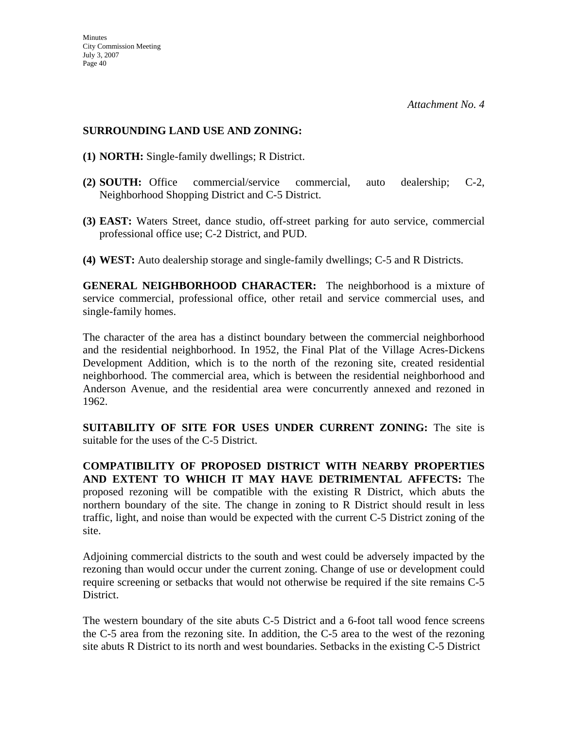### **SURROUNDING LAND USE AND ZONING:**

- **(1) NORTH:** Single-family dwellings; R District.
- **(2) SOUTH:** Office commercial/service commercial, auto dealership; C-2, Neighborhood Shopping District and C-5 District.
- **(3) EAST:** Waters Street, dance studio, off-street parking for auto service, commercial professional office use; C-2 District, and PUD.
- **(4) WEST:** Auto dealership storage and single-family dwellings; C-5 and R Districts.

**GENERAL NEIGHBORHOOD CHARACTER:** The neighborhood is a mixture of service commercial, professional office, other retail and service commercial uses, and single-family homes.

The character of the area has a distinct boundary between the commercial neighborhood and the residential neighborhood. In 1952, the Final Plat of the Village Acres-Dickens Development Addition, which is to the north of the rezoning site, created residential neighborhood. The commercial area, which is between the residential neighborhood and Anderson Avenue, and the residential area were concurrently annexed and rezoned in 1962.

**SUITABILITY OF SITE FOR USES UNDER CURRENT ZONING:** The site is suitable for the uses of the C-5 District.

**COMPATIBILITY OF PROPOSED DISTRICT WITH NEARBY PROPERTIES AND EXTENT TO WHICH IT MAY HAVE DETRIMENTAL AFFECTS:** The proposed rezoning will be compatible with the existing R District, which abuts the northern boundary of the site. The change in zoning to R District should result in less traffic, light, and noise than would be expected with the current C-5 District zoning of the site.

Adjoining commercial districts to the south and west could be adversely impacted by the rezoning than would occur under the current zoning. Change of use or development could require screening or setbacks that would not otherwise be required if the site remains C-5 District.

The western boundary of the site abuts C-5 District and a 6-foot tall wood fence screens the C-5 area from the rezoning site. In addition, the C-5 area to the west of the rezoning site abuts R District to its north and west boundaries. Setbacks in the existing C-5 District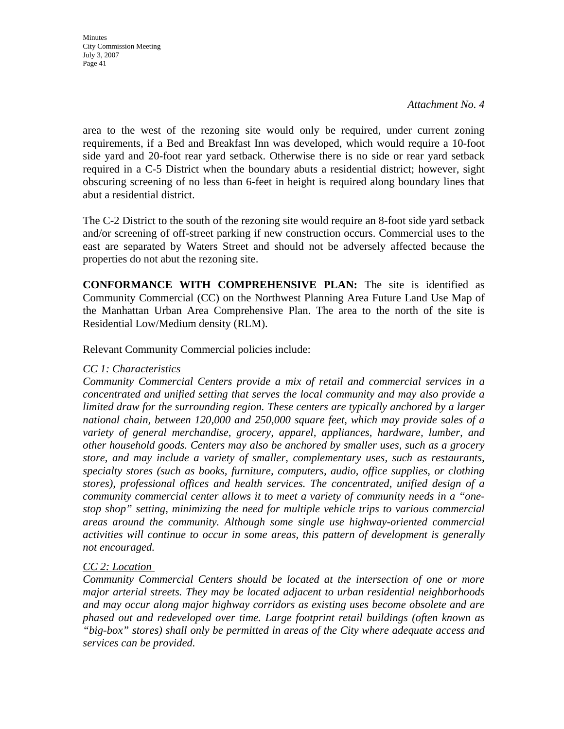*Attachment No. 4* 

area to the west of the rezoning site would only be required, under current zoning requirements, if a Bed and Breakfast Inn was developed, which would require a 10-foot side yard and 20-foot rear yard setback. Otherwise there is no side or rear yard setback required in a C-5 District when the boundary abuts a residential district; however, sight obscuring screening of no less than 6-feet in height is required along boundary lines that abut a residential district.

The C-2 District to the south of the rezoning site would require an 8-foot side yard setback and/or screening of off-street parking if new construction occurs. Commercial uses to the east are separated by Waters Street and should not be adversely affected because the properties do not abut the rezoning site.

**CONFORMANCE WITH COMPREHENSIVE PLAN:** The site is identified as Community Commercial (CC) on the Northwest Planning Area Future Land Use Map of the Manhattan Urban Area Comprehensive Plan. The area to the north of the site is Residential Low/Medium density (RLM).

Relevant Community Commercial policies include:

### *CC 1: Characteristics*

*Community Commercial Centers provide a mix of retail and commercial services in a concentrated and unified setting that serves the local community and may also provide a limited draw for the surrounding region. These centers are typically anchored by a larger national chain, between 120,000 and 250,000 square feet, which may provide sales of a variety of general merchandise, grocery, apparel, appliances, hardware, lumber, and other household goods. Centers may also be anchored by smaller uses, such as a grocery store, and may include a variety of smaller, complementary uses, such as restaurants, specialty stores (such as books, furniture, computers, audio, office supplies, or clothing stores), professional offices and health services. The concentrated, unified design of a community commercial center allows it to meet a variety of community needs in a "onestop shop" setting, minimizing the need for multiple vehicle trips to various commercial areas around the community. Although some single use highway-oriented commercial activities will continue to occur in some areas, this pattern of development is generally not encouraged.* 

### *CC 2: Location*

*Community Commercial Centers should be located at the intersection of one or more major arterial streets. They may be located adjacent to urban residential neighborhoods and may occur along major highway corridors as existing uses become obsolete and are phased out and redeveloped over time. Large footprint retail buildings (often known as "big-box" stores) shall only be permitted in areas of the City where adequate access and services can be provided.*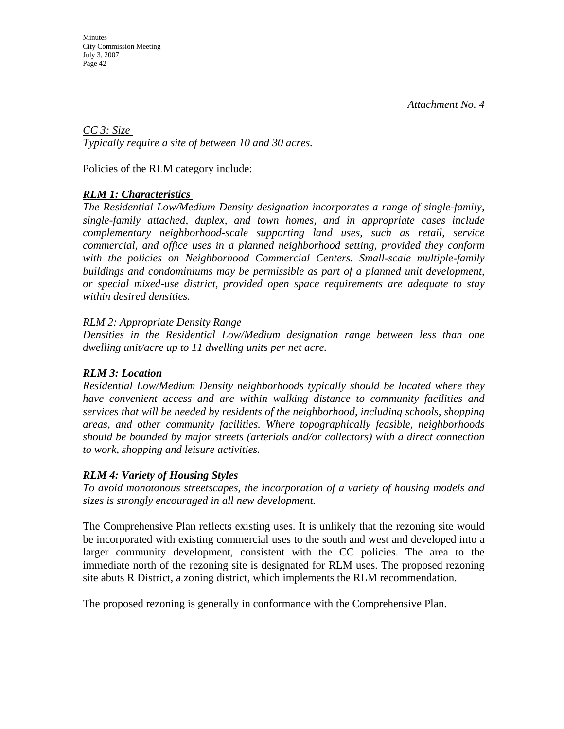**Minutes** City Commission Meeting July 3, 2007 Page 42

*CC 3: Size Typically require a site of between 10 and 30 acres.* 

Policies of the RLM category include:

### *RLM 1: Characteristics*

*The Residential Low/Medium Density designation incorporates a range of single-family, single-family attached, duplex, and town homes, and in appropriate cases include complementary neighborhood-scale supporting land uses, such as retail, service commercial, and office uses in a planned neighborhood setting, provided they conform*  with the policies on Neighborhood Commercial Centers. Small-scale multiple-family *buildings and condominiums may be permissible as part of a planned unit development, or special mixed-use district, provided open space requirements are adequate to stay within desired densities.* 

### *RLM 2: Appropriate Density Range*

*Densities in the Residential Low/Medium designation range between less than one dwelling unit/acre up to 11 dwelling units per net acre.* 

### *RLM 3: Location*

*Residential Low/Medium Density neighborhoods typically should be located where they have convenient access and are within walking distance to community facilities and services that will be needed by residents of the neighborhood, including schools, shopping areas, and other community facilities. Where topographically feasible, neighborhoods should be bounded by major streets (arterials and/or collectors) with a direct connection to work, shopping and leisure activities.* 

### *RLM 4: Variety of Housing Styles*

*To avoid monotonous streetscapes, the incorporation of a variety of housing models and sizes is strongly encouraged in all new development.* 

The Comprehensive Plan reflects existing uses. It is unlikely that the rezoning site would be incorporated with existing commercial uses to the south and west and developed into a larger community development, consistent with the CC policies. The area to the immediate north of the rezoning site is designated for RLM uses. The proposed rezoning site abuts R District, a zoning district, which implements the RLM recommendation.

The proposed rezoning is generally in conformance with the Comprehensive Plan.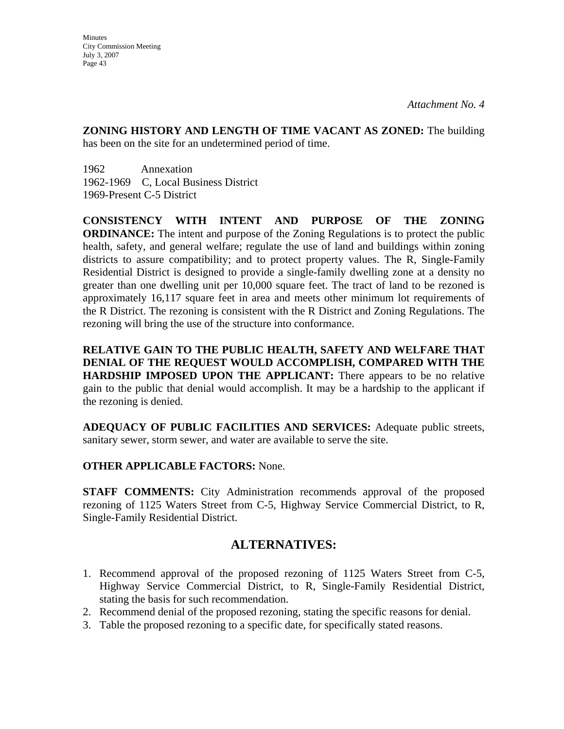**ZONING HISTORY AND LENGTH OF TIME VACANT AS ZONED:** The building has been on the site for an undetermined period of time.

1962 Annexation 1962-1969 C, Local Business District 1969-Present C-5 District

**CONSISTENCY WITH INTENT AND PURPOSE OF THE ZONING ORDINANCE:** The intent and purpose of the Zoning Regulations is to protect the public health, safety, and general welfare; regulate the use of land and buildings within zoning districts to assure compatibility; and to protect property values. The R, Single-Family Residential District is designed to provide a single-family dwelling zone at a density no greater than one dwelling unit per 10,000 square feet. The tract of land to be rezoned is approximately 16,117 square feet in area and meets other minimum lot requirements of the R District. The rezoning is consistent with the R District and Zoning Regulations. The rezoning will bring the use of the structure into conformance.

**RELATIVE GAIN TO THE PUBLIC HEALTH, SAFETY AND WELFARE THAT DENIAL OF THE REQUEST WOULD ACCOMPLISH, COMPARED WITH THE HARDSHIP IMPOSED UPON THE APPLICANT:** There appears to be no relative gain to the public that denial would accomplish. It may be a hardship to the applicant if the rezoning is denied.

**ADEQUACY OF PUBLIC FACILITIES AND SERVICES:** Adequate public streets, sanitary sewer, storm sewer, and water are available to serve the site.

### **OTHER APPLICABLE FACTORS:** None.

**STAFF COMMENTS:** City Administration recommends approval of the proposed rezoning of 1125 Waters Street from C-5, Highway Service Commercial District, to R, Single-Family Residential District.

### **ALTERNATIVES:**

- 1. Recommend approval of the proposed rezoning of 1125 Waters Street from C-5, Highway Service Commercial District, to R, Single-Family Residential District, stating the basis for such recommendation.
- 2. Recommend denial of the proposed rezoning, stating the specific reasons for denial.
- 3. Table the proposed rezoning to a specific date, for specifically stated reasons.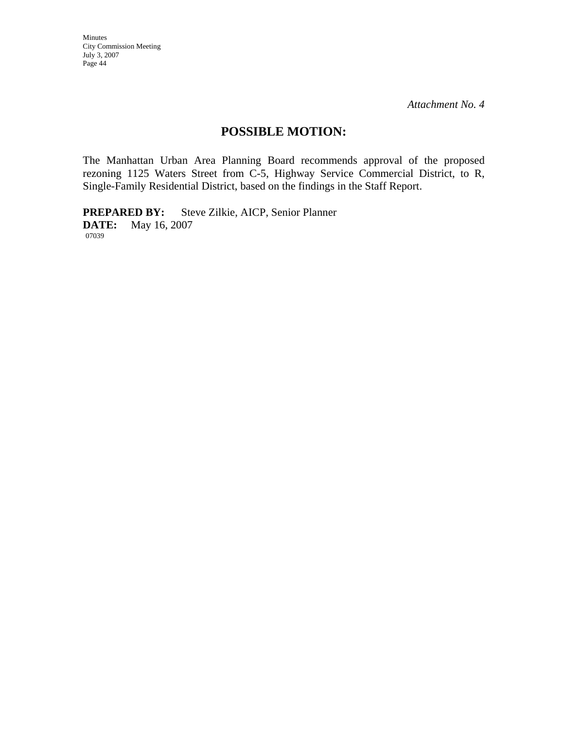*Attachment No. 4* 

### **POSSIBLE MOTION:**

The Manhattan Urban Area Planning Board recommends approval of the proposed rezoning 1125 Waters Street from C-5, Highway Service Commercial District, to R, Single-Family Residential District, based on the findings in the Staff Report.

**PREPARED BY:** Steve Zilkie, AICP, Senior Planner **DATE:** May 16, 2007 07039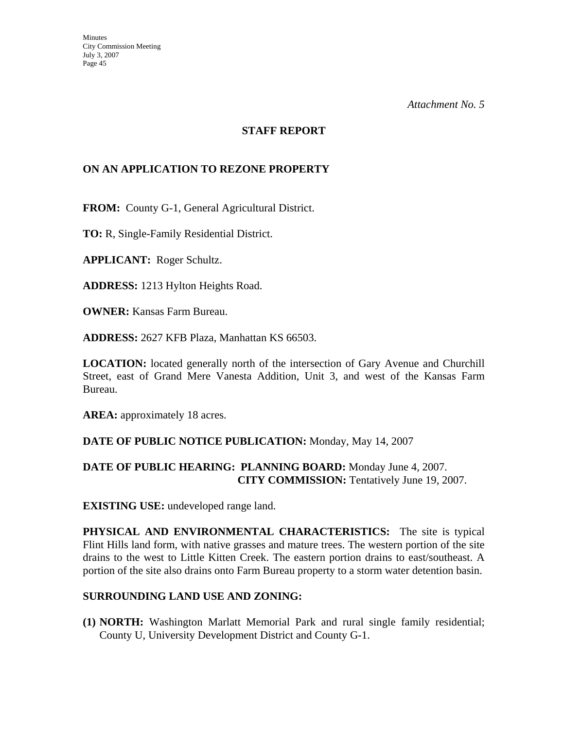#### **STAFF REPORT**

### **ON AN APPLICATION TO REZONE PROPERTY**

**FROM:** County G-1, General Agricultural District.

**TO:** R, Single-Family Residential District.

**APPLICANT:** Roger Schultz.

**ADDRESS:** 1213 Hylton Heights Road.

**OWNER:** Kansas Farm Bureau.

**ADDRESS:** 2627 KFB Plaza, Manhattan KS 66503.

**LOCATION:** located generally north of the intersection of Gary Avenue and Churchill Street, east of Grand Mere Vanesta Addition, Unit 3, and west of the Kansas Farm Bureau.

AREA: approximately 18 acres.

#### **DATE OF PUBLIC NOTICE PUBLICATION:** Monday, May 14, 2007

### **DATE OF PUBLIC HEARING: PLANNING BOARD:** Monday June 4, 2007. **CITY COMMISSION:** Tentatively June 19, 2007.

**EXISTING USE:** undeveloped range land.

**PHYSICAL AND ENVIRONMENTAL CHARACTERISTICS:** The site is typical Flint Hills land form, with native grasses and mature trees. The western portion of the site drains to the west to Little Kitten Creek. The eastern portion drains to east/southeast. A portion of the site also drains onto Farm Bureau property to a storm water detention basin.

#### **SURROUNDING LAND USE AND ZONING:**

**(1) NORTH:** Washington Marlatt Memorial Park and rural single family residential; County U, University Development District and County G-1.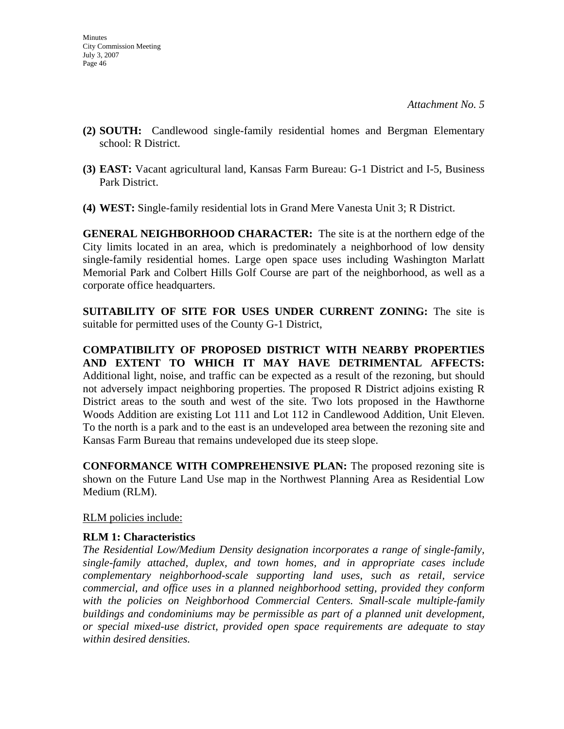- **(2) SOUTH:** Candlewood single-family residential homes and Bergman Elementary school: R District.
- **(3) EAST:** Vacant agricultural land, Kansas Farm Bureau: G-1 District and I-5, Business Park District.
- **(4) WEST:** Single-family residential lots in Grand Mere Vanesta Unit 3; R District.

**GENERAL NEIGHBORHOOD CHARACTER:** The site is at the northern edge of the City limits located in an area, which is predominately a neighborhood of low density single-family residential homes. Large open space uses including Washington Marlatt Memorial Park and Colbert Hills Golf Course are part of the neighborhood, as well as a corporate office headquarters.

**SUITABILITY OF SITE FOR USES UNDER CURRENT ZONING:** The site is suitable for permitted uses of the County G-1 District,

**COMPATIBILITY OF PROPOSED DISTRICT WITH NEARBY PROPERTIES AND EXTENT TO WHICH IT MAY HAVE DETRIMENTAL AFFECTS:**  Additional light, noise, and traffic can be expected as a result of the rezoning, but should not adversely impact neighboring properties. The proposed R District adjoins existing R District areas to the south and west of the site. Two lots proposed in the Hawthorne Woods Addition are existing Lot 111 and Lot 112 in Candlewood Addition, Unit Eleven. To the north is a park and to the east is an undeveloped area between the rezoning site and Kansas Farm Bureau that remains undeveloped due its steep slope.

**CONFORMANCE WITH COMPREHENSIVE PLAN:** The proposed rezoning site is shown on the Future Land Use map in the Northwest Planning Area as Residential Low Medium (RLM).

RLM policies include:

### **RLM 1: Characteristics**

*The Residential Low/Medium Density designation incorporates a range of single-family, single-family attached, duplex, and town homes, and in appropriate cases include complementary neighborhood-scale supporting land uses, such as retail, service commercial, and office uses in a planned neighborhood setting, provided they conform*  with the policies on Neighborhood Commercial Centers. Small-scale multiple-family *buildings and condominiums may be permissible as part of a planned unit development, or special mixed-use district, provided open space requirements are adequate to stay within desired densities.*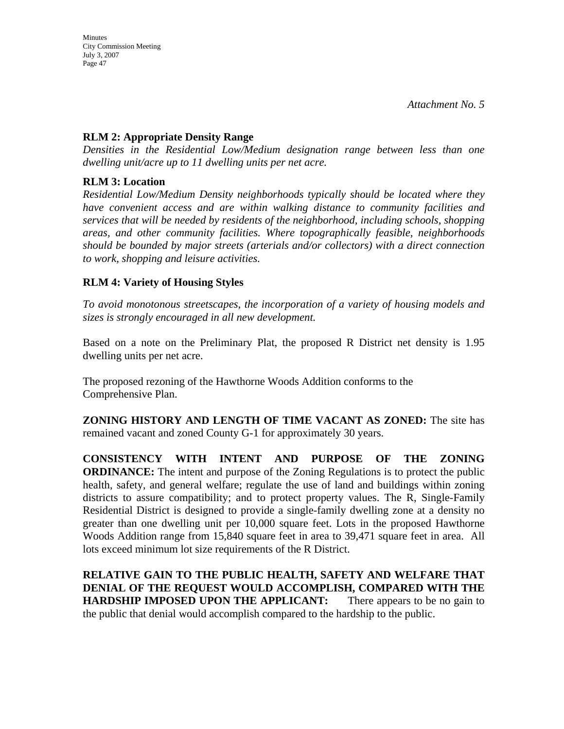### **RLM 2: Appropriate Density Range**

*Densities in the Residential Low/Medium designation range between less than one dwelling unit/acre up to 11 dwelling units per net acre.* 

### **RLM 3: Location**

*Residential Low/Medium Density neighborhoods typically should be located where they have convenient access and are within walking distance to community facilities and services that will be needed by residents of the neighborhood, including schools, shopping areas, and other community facilities. Where topographically feasible, neighborhoods should be bounded by major streets (arterials and/or collectors) with a direct connection to work, shopping and leisure activities.* 

### **RLM 4: Variety of Housing Styles**

*To avoid monotonous streetscapes, the incorporation of a variety of housing models and sizes is strongly encouraged in all new development.* 

Based on a note on the Preliminary Plat, the proposed R District net density is 1.95 dwelling units per net acre.

The proposed rezoning of the Hawthorne Woods Addition conforms to the Comprehensive Plan.

**ZONING HISTORY AND LENGTH OF TIME VACANT AS ZONED:** The site has remained vacant and zoned County G-1 for approximately 30 years.

**CONSISTENCY WITH INTENT AND PURPOSE OF THE ZONING ORDINANCE:** The intent and purpose of the Zoning Regulations is to protect the public health, safety, and general welfare; regulate the use of land and buildings within zoning districts to assure compatibility; and to protect property values. The R, Single-Family Residential District is designed to provide a single-family dwelling zone at a density no greater than one dwelling unit per 10,000 square feet. Lots in the proposed Hawthorne Woods Addition range from 15,840 square feet in area to 39,471 square feet in area. All lots exceed minimum lot size requirements of the R District.

**RELATIVE GAIN TO THE PUBLIC HEALTH, SAFETY AND WELFARE THAT DENIAL OF THE REQUEST WOULD ACCOMPLISH, COMPARED WITH THE HARDSHIP IMPOSED UPON THE APPLICANT:** There appears to be no gain to the public that denial would accomplish compared to the hardship to the public.